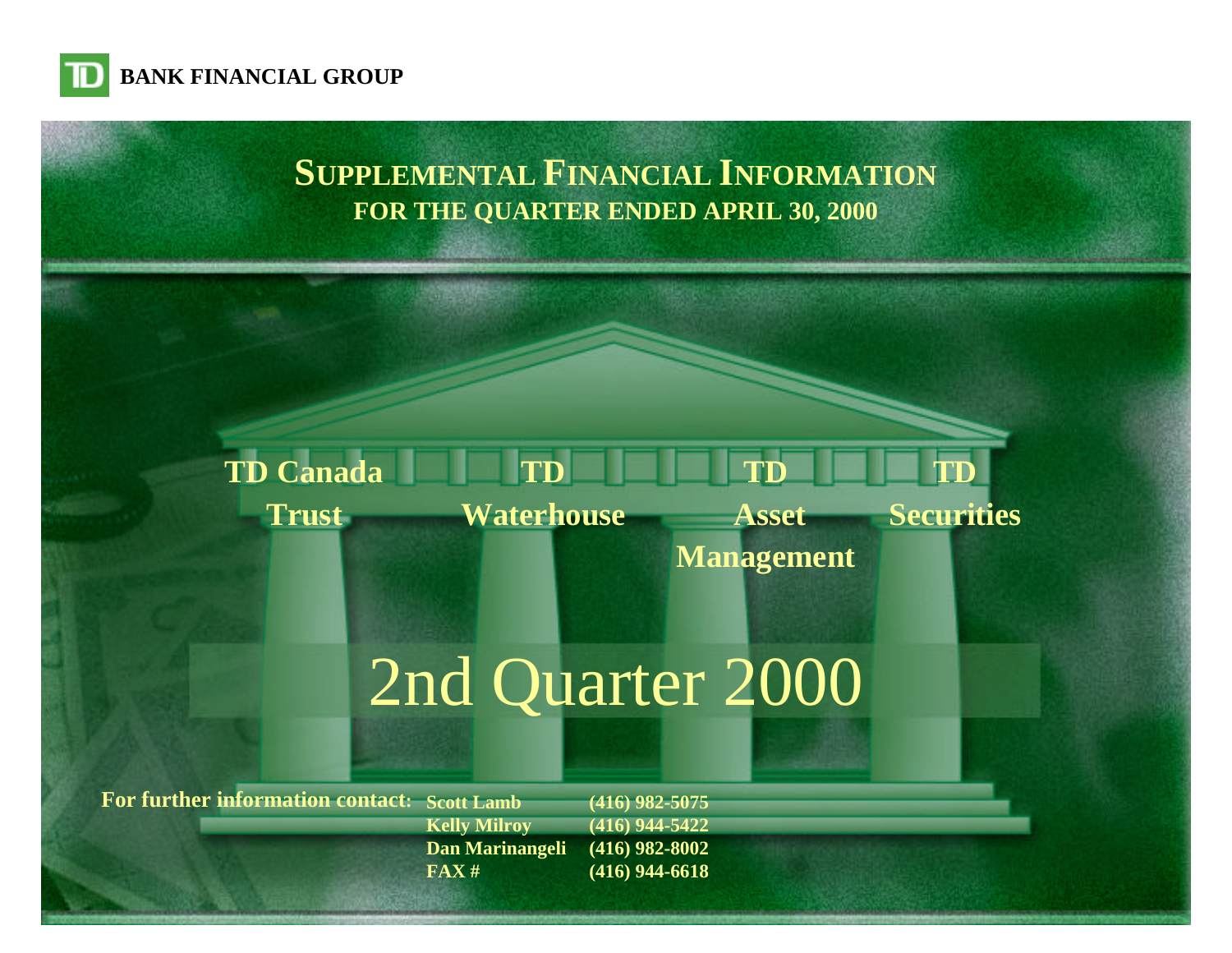

# **SUPPLEMENTAL FINANCIAL INFORMATION FOR THE QUARTER ENDED APRIL 30, 2000**

#### **TD Waterhouse TD Canada Trust TD Asset TD Securities**

# **Management**

# [2nd Quarter 2000](#page-1-0)

**For further information contact: Scott Lamb**

**Kelly Milroy Dan Marinangeli FAX #**

**(416) 982-5075 (416) 944-5422 (416) 982-8002 (416) 944-6618**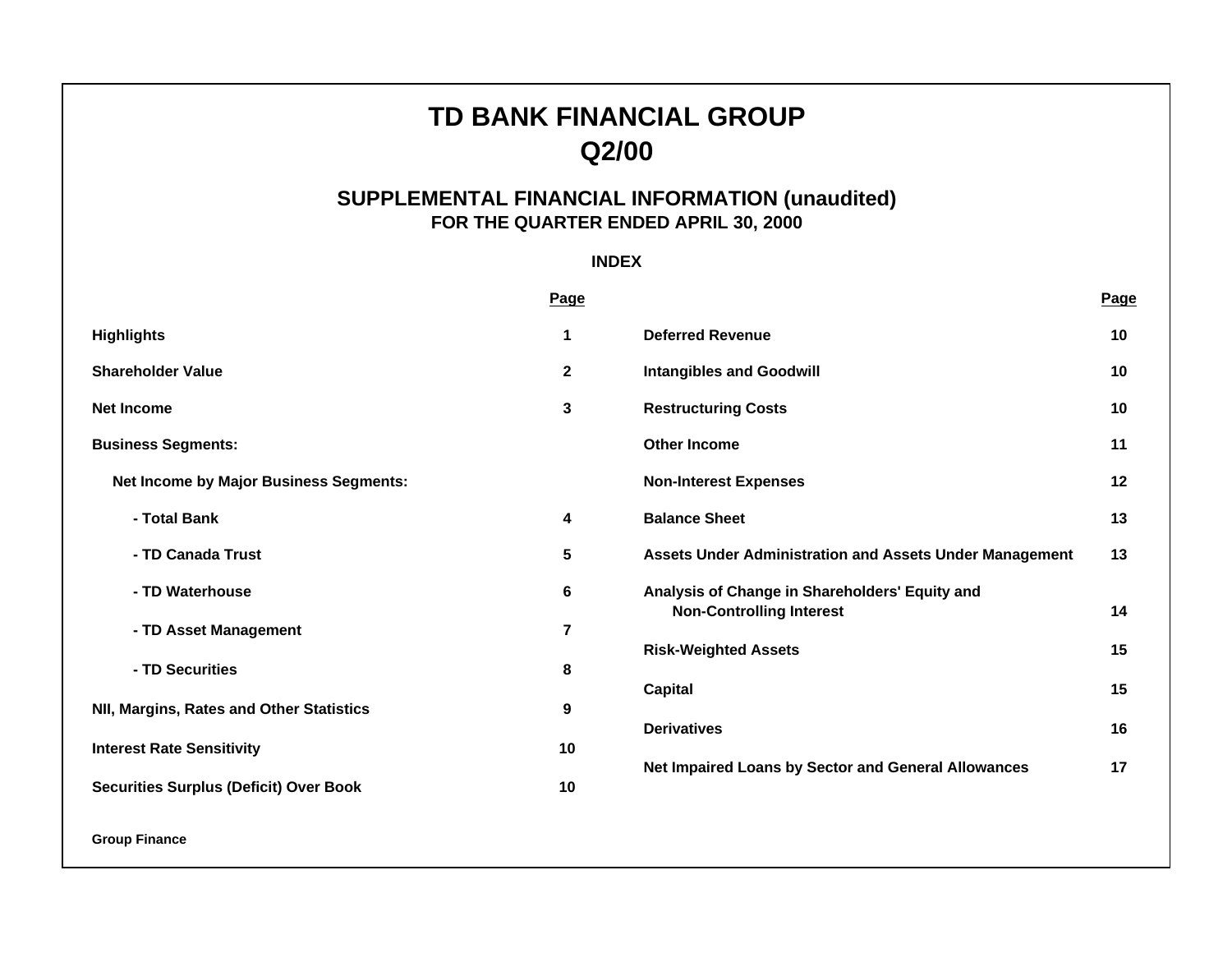# **TD BANK FINANCIAL GROUP Q2/00**

# **SUPPLEMENTAL FINANCIAL INFORMATION (unaudited) FOR THE QUARTER ENDED APRIL 30, 2000**

# **INDEX**

<span id="page-1-0"></span>

|                                               | Page         |                                                                                   | Page |
|-----------------------------------------------|--------------|-----------------------------------------------------------------------------------|------|
| <b>Highlights</b>                             | 1            | <b>Deferred Revenue</b>                                                           | 10   |
| <b>Shareholder Value</b>                      | $\mathbf{2}$ | <b>Intangibles and Goodwill</b>                                                   | 10   |
| <b>Net Income</b>                             | 3            | <b>Restructuring Costs</b>                                                        | 10   |
| <b>Business Segments:</b>                     |              | <b>Other Income</b>                                                               | 11   |
| <b>Net Income by Major Business Segments:</b> |              | <b>Non-Interest Expenses</b>                                                      | 12   |
| - Total Bank                                  | 4            | <b>Balance Sheet</b>                                                              | 13   |
| - TD Canada Trust                             | 5            | <b>Assets Under Administration and Assets Under Management</b>                    | 13   |
| - TD Waterhouse                               | 6            | Analysis of Change in Shareholders' Equity and<br><b>Non-Controlling Interest</b> | 14   |
| - TD Asset Management                         | 7            |                                                                                   |      |
|                                               |              | <b>Risk-Weighted Assets</b>                                                       | 15   |
| - TD Securities                               | 8            | <b>Capital</b>                                                                    | 15   |
| NII, Margins, Rates and Other Statistics      | 9            |                                                                                   |      |
| <b>Interest Rate Sensitivity</b>              | 10           | <b>Derivatives</b>                                                                | 16   |
|                                               |              | Net Impaired Loans by Sector and General Allowances                               | 17   |
| <b>Securities Surplus (Deficit) Over Book</b> | 10           |                                                                                   |      |
|                                               |              |                                                                                   |      |

**Group Finance**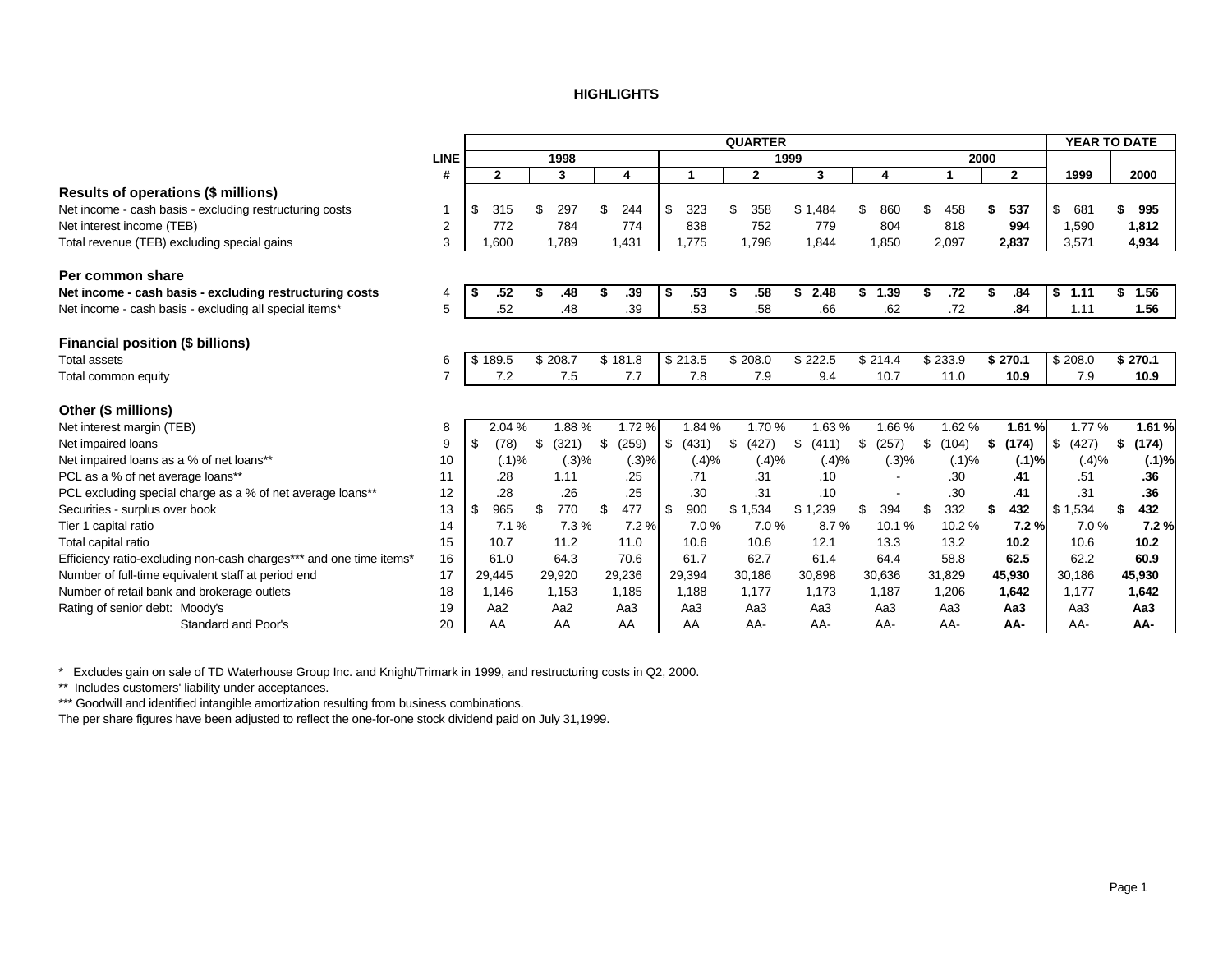#### **HIGHLIGHTS**

<span id="page-2-0"></span>

|                                                                    |                |                 |                 |                 |       |             |        | <b>QUARTER</b> |       |                 |         |                          |             |      |                 | YEAR TO DATE |                 |
|--------------------------------------------------------------------|----------------|-----------------|-----------------|-----------------|-------|-------------|--------|----------------|-------|-----------------|---------|--------------------------|-------------|------|-----------------|--------------|-----------------|
|                                                                    | <b>LINE</b>    |                 | 1998            |                 |       |             |        |                | 1999  |                 |         |                          |             | 2000 |                 |              |                 |
|                                                                    | #              | $\mathbf{2}$    | 3               | 4               |       | 1           |        | $\mathbf{2}$   |       | 3               |         | 4                        |             |      | $\mathbf{2}$    | 1999         | 2000            |
| Results of operations (\$ millions)                                |                |                 |                 |                 |       |             |        |                |       |                 |         |                          |             |      |                 |              |                 |
| Net income - cash basis - excluding restructuring costs            | 1              | \$<br>315       | \$<br>297       | 244<br>£.       |       | \$<br>323   |        | 358<br>\$      |       | \$1,484         |         | 860                      | \$<br>458   | S    | 537             | \$<br>681    | 995             |
| Net interest income (TEB)                                          | $\overline{2}$ | 772             | 784             | 774             |       | 838         |        | 752            |       | 779             |         | 804                      | 818         |      | 994             | 1,590        | 1,812           |
| Total revenue (TEB) excluding special gains                        | 3              | 1,600           | 1.789           | 1,431           |       | 1,775       |        | 1.796          |       | 1.844           |         | 1,850                    | 2,097       |      | 2,837           | 3,571        | 4,934           |
| Per common share                                                   |                |                 |                 |                 |       |             |        |                |       |                 |         |                          |             |      |                 |              |                 |
| Net income - cash basis - excluding restructuring costs            | 4              | .52             | .48             |                 | .39   | \$          | .53    | .58<br>\$      |       | 2.48<br>\$      |         | 1.39                     | .72<br>\$   | \$   | .84             | 1.11<br>\$   | \$<br>1.56      |
| Net income - cash basis - excluding all special items*             | 5              | .52             | .48             |                 | .39   |             | .53    | .58            |       | .66             |         | .62                      | .72         |      | .84             | 1.11         | 1.56            |
| <b>Financial position (\$ billions)</b>                            |                |                 |                 |                 |       |             |        |                |       |                 |         |                          |             |      |                 |              |                 |
| <b>Total assets</b>                                                | 6              | \$189.5         | \$208.7         | \$181.8         |       | \$213.5     |        | \$208.0        |       | \$222.5         | \$214.4 |                          | \$233.9     |      | \$270.1         | \$208.0      | \$270.1         |
| Total common equity                                                | $\overline{7}$ | 7.2             | 7.5             | 7.7             |       |             | 7.8    | 7.9            |       | 9.4             |         | 10.7                     | 11.0        |      | 10.9            | 7.9          | 10.9            |
| Other (\$ millions)                                                |                |                 |                 |                 |       |             |        |                |       |                 |         |                          |             |      |                 |              |                 |
| Net interest margin (TEB)                                          | 8              | 2.04 %          | 1.88%           |                 | 1.72% |             | 1.84 % | 1.70%          |       | 1.63%           |         | 1.66%                    | 1.62%       |      | 1.61%           | 1.77 %       | 1.61%           |
| Net impaired loans                                                 | 9              | \$<br>(78)      | \$<br>(321)     | \$              | (259) | \$<br>(431) |        | \$<br>(427)    |       | \$<br>(411)     | £.      | (257)                    | \$<br>(104) | \$   | (174)           | \$<br>(427)  | \$<br>(174)     |
| Net impaired loans as a % of net loans**                           | 10             | (.1)%           | (.3)%           |                 | (.3)% |             | (.4)%  |                | (.4)% | (.4)%           |         | (.3)%                    | (.1)%       |      | (.1)%           | (.4)%        | (.1)%           |
| PCL as a % of net average loans**                                  | 11             | .28             | 1.11            |                 | .25   |             | .71    | .31            |       | .10             |         |                          | .30         |      | .41             | .51          | .36             |
| PCL excluding special charge as a % of net average loans**         | 12             | .28             | .26             |                 | .25   |             | .30    | .31            |       | .10             |         | $\overline{\phantom{a}}$ | .30         |      | .41             | .31          | .36             |
| Securities - surplus over book                                     | 13             | \$<br>965       | \$<br>770       | 477<br>\$.      |       | 900<br>\$   |        | \$1,534        |       | \$1,239         |         | 394                      | 332<br>\$   | \$   | 432             | \$1,534      | \$<br>432       |
| Tier 1 capital ratio                                               | 14             | 7.1%            | 7.3%            |                 | 7.2%  |             | 7.0%   | 7.0%           |       | 8.7%            |         | 10.1%                    | 10.2%       |      | 7.2%            | 7.0%         | 7.2%            |
| Total capital ratio                                                | 15             | 10.7            | 11.2            | 11.0            |       | 10.6        |        | 10.6           |       | 12.1            |         | 13.3                     | 13.2        |      | 10.2            | 10.6         | 10.2            |
| Efficiency ratio-excluding non-cash charges*** and one time items* | 16             | 61.0            | 64.3            | 70.6            |       | 61.7        |        | 62.7           |       | 61.4            |         | 64.4                     | 58.8        |      | 62.5            | 62.2         | 60.9            |
| Number of full-time equivalent staff at period end                 | 17             | 29,445          | 29,920          | 29,236          |       | 29,394      |        | 30,186         |       | 30,898          | 30,636  |                          | 31,829      |      | 45,930          | 30,186       | 45,930          |
| Number of retail bank and brokerage outlets                        | 18             | 1,146           | 1,153           | 1,185           |       | 1,188       |        | 1,177          |       | 1,173           |         | 1,187                    | 1,206       |      | 1,642           | 1,177        | 1,642           |
| Rating of senior debt: Moody's                                     | 19             | Aa <sub>2</sub> | Aa <sub>2</sub> | Aa <sub>3</sub> |       | Aa3         |        | Aa3            |       | Aa <sub>3</sub> |         | Aa3                      | Aa3         |      | Aa <sub>3</sub> | Aa3          | Aa <sub>3</sub> |
| Standard and Poor's                                                | 20             | AA              | AA              | AA              |       | AA          |        | AA-            |       | AA-             |         | AA-                      | AA-         |      | AA-             | AA-          | AA-             |

\* Excludes gain on sale of TD Waterhouse Group Inc. and Knight/Trimark in 1999, and restructuring costs in Q2, 2000.

\*\* Includes customers' liability under acceptances.

\*\*\* Goodwill and identified intangible amortization resulting from business combinations.

The per share figures have been adjusted to reflect the one-for-one stock dividend paid on July 31,1999.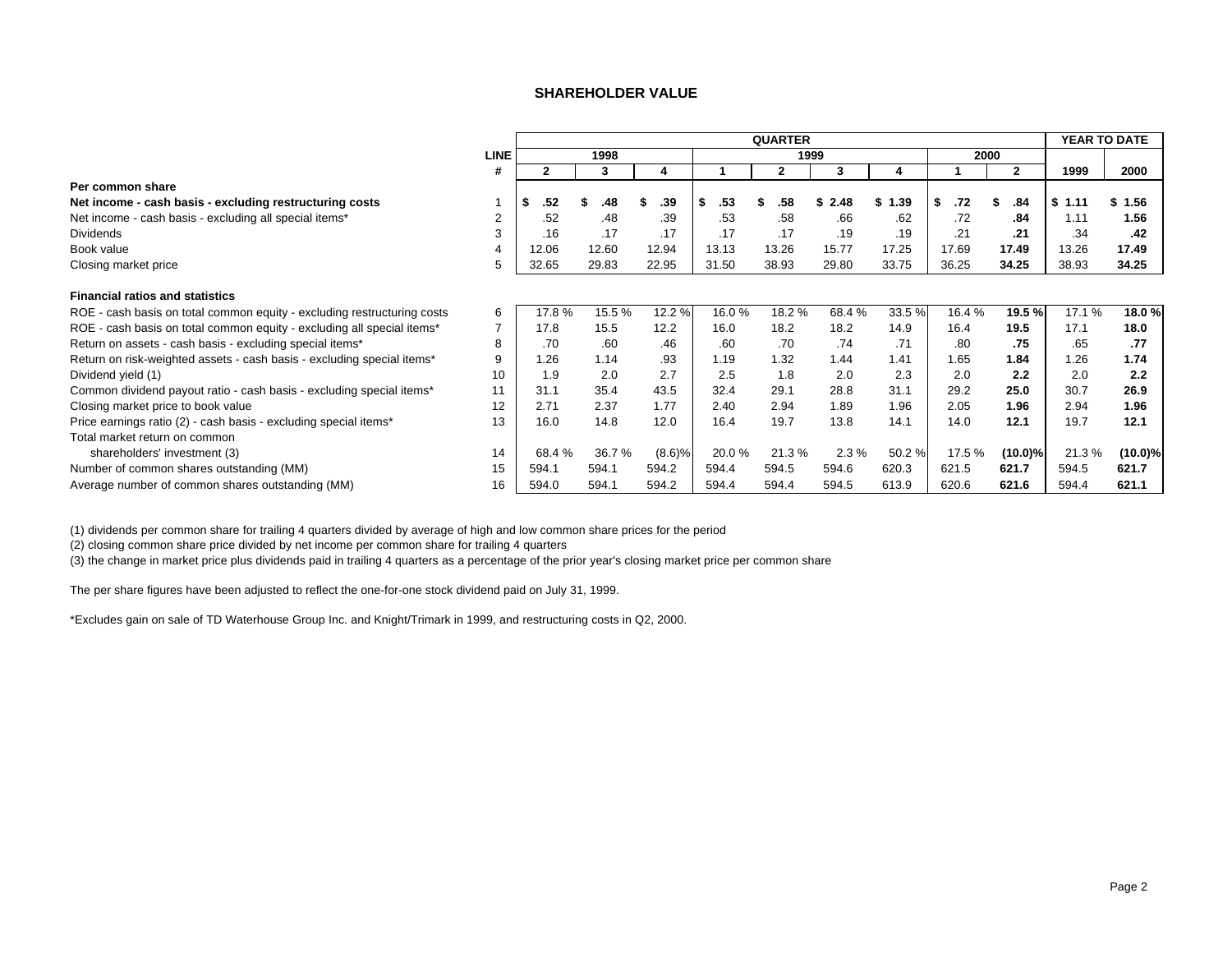#### **SHAREHOLDER VALUE**

<span id="page-3-0"></span>

|                                                                         |             |           |        |        |           | <b>QUARTER</b> |           |        |           |              | YEAR TO DATE |            |
|-------------------------------------------------------------------------|-------------|-----------|--------|--------|-----------|----------------|-----------|--------|-----------|--------------|--------------|------------|
|                                                                         | <b>LINE</b> |           | 1998   |        |           | 1999           |           |        | 2000      |              |              |            |
|                                                                         | #           | 2         | 3      | 4      |           | 2              | 3         |        |           | $\mathbf{2}$ | 1999         | 2000       |
| Per common share                                                        |             |           |        |        |           |                |           |        |           |              |              |            |
| Net income - cash basis - excluding restructuring costs                 |             | .52<br>-5 | .48    | .39    | .53<br>-S | .58            | 2.48<br>S | \$1.39 | \$<br>.72 | .84          | \$1.11       | \$1.56     |
| Net income - cash basis - excluding all special items*                  |             | .52       | .48    | .39    | .53       | .58            | .66       | .62    | .72       | .84          | 1.11         | 1.56       |
| <b>Dividends</b>                                                        |             | .16       | .17    | .17    | .17       | .17            | .19       | .19    | .21       | .21          | .34          | .42        |
| Book value                                                              | 4           | 12.06     | 12.60  | 12.94  | 13.13     | 13.26          | 15.77     | 17.25  | 17.69     | 17.49        | 13.26        | 17.49      |
| Closing market price                                                    |             | 32.65     | 29.83  | 22.95  | 31.50     | 38.93          | 29.80     | 33.75  | 36.25     | 34.25        | 38.93        | 34.25      |
| <b>Financial ratios and statistics</b>                                  |             |           |        |        |           |                |           |        |           |              |              |            |
| ROE - cash basis on total common equity - excluding restructuring costs | 6           | 17.8%     | 15.5 % | 12.2 % | 16.0%     | 18.2%          | 68.4%     | 33.5 % | 16.4 %    | 19.5 %       | 17.1 %       | 18.0%      |
| ROE - cash basis on total common equity - excluding all special items*  |             | 17.8      | 15.5   | 12.2   | 16.0      | 18.2           | 18.2      | 14.9   | 16.4      | 19.5         | 17.1         | 18.0       |
| Return on assets - cash basis - excluding special items*                | 8           | .70       | .60    | .46    | .60       | .70            | .74       | .71    | .80       | .75          | .65          | .77        |
| Return on risk-weighted assets - cash basis - excluding special items*  | 9           | 1.26      | 1.14   | .93    | 1.19      | 1.32           | 1.44      | 1.41   | 1.65      | 1.84         | 1.26         | 1.74       |
| Dividend yield (1)                                                      | 10          | 1.9       | 2.0    | 2.7    | 2.5       | 1.8            | 2.0       | 2.3    | 2.0       | 2.2          | 2.0          | 2.2        |
| Common dividend payout ratio - cash basis - excluding special items*    | 11          | 31.1      | 35.4   | 43.5   | 32.4      | 29.1           | 28.8      | 31.1   | 29.2      | 25.0         | 30.7         | 26.9       |
| Closing market price to book value                                      | 12          | 2.71      | 2.37   | 1.77   | 2.40      | 2.94           | 1.89      | 1.96   | 2.05      | 1.96         | 2.94         | 1.96       |
| Price earnings ratio (2) - cash basis - excluding special items*        | 13          | 16.0      | 14.8   | 12.0   | 16.4      | 19.7           | 13.8      | 14.1   | 14.0      | 12.1         | 19.7         | 12.1       |
| Total market return on common                                           |             |           |        |        |           |                |           |        |           |              |              |            |
| shareholders' investment (3)                                            | 14          | 68.4%     | 36.7%  | (8.6)% | 20.0%     | 21.3%          | 2.3%      | 50.2 % | 17.5 %    | $(10.0)\%$   | 21.3%        | $(10.0)\%$ |
| Number of common shares outstanding (MM)                                | 15          | 594.1     | 594.1  | 594.2  | 594.4     | 594.5          | 594.6     | 620.3  | 621.5     | 621.7        | 594.5        | 621.7      |
| Average number of common shares outstanding (MM)                        | 16          | 594.0     | 594.1  | 594.2  | 594.4     | 594.4          | 594.5     | 613.9  | 620.6     | 621.6        | 594.4        | 621.1      |

(1) dividends per common share for trailing 4 quarters divided by average of high and low common share prices for the period

(2) closing common share price divided by net income per common share for trailing 4 quarters

(3) the change in market price plus dividends paid in trailing 4 quarters as a percentage of the prior year's closing market price per common share

The per share figures have been adjusted to reflect the one-for-one stock dividend paid on July 31, 1999.

\*Excludes gain on sale of TD Waterhouse Group Inc. and Knight/Trimark in 1999, and restructuring costs in Q2, 2000.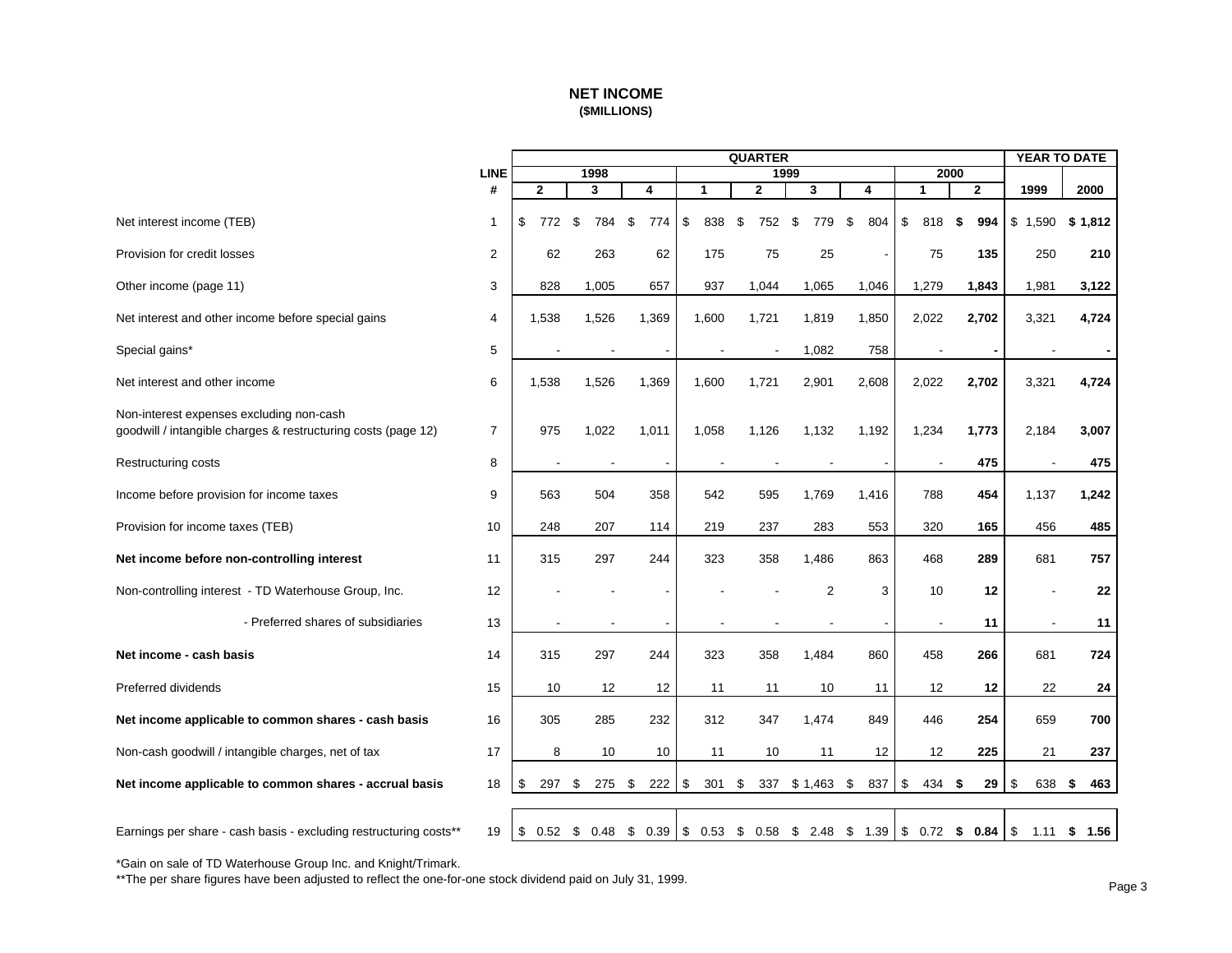### **NET INCOME (\$MILLIONS)**

<span id="page-4-0"></span>

|                                                                                                           |                |                |       |                |                          |                   | <b>QUARTER</b> |       |                          |            |                |              |     | <b>YEAR TO DATE</b> |            |
|-----------------------------------------------------------------------------------------------------------|----------------|----------------|-------|----------------|--------------------------|-------------------|----------------|-------|--------------------------|------------|----------------|--------------|-----|---------------------|------------|
|                                                                                                           | <b>LINE</b>    |                | 1998  |                |                          |                   |                | 1999  |                          |            |                | 2000         |     |                     |            |
|                                                                                                           | #              | $\overline{2}$ | 3     |                | 4                        | 1                 | $\mathbf 2$    |       | 3                        | 4          | $\mathbf{1}$   | $\mathbf{2}$ |     | 1999                | 2000       |
| Net interest income (TEB)                                                                                 | $\mathbf{1}$   | \$<br>772      | \$    | \$<br>784      | 774                      | \$<br>838         | \$             | 752   | \$<br>779                | 804<br>\$  | \$<br>818      | \$           | 994 | \$1,590             | \$1,812    |
| Provision for credit losses                                                                               | $\overline{2}$ | 62             |       | 263            | 62                       | 175               |                | 75    | 25                       |            | 75             |              | 135 | 250                 | 210        |
| Other income (page 11)                                                                                    | 3              | 828            | 1,005 |                | 657                      | 937               |                | 1,044 | 1,065                    | 1,046      | 1,279          | 1,843        |     | 1,981               | 3,122      |
| Net interest and other income before special gains                                                        | 4              | 1,538          | 1,526 |                | 1,369                    | 1,600             |                | 1,721 | 1,819                    | 1,850      | 2,022          | 2,702        |     | 3,321               | 4,724      |
| Special gains*                                                                                            | 5              |                |       |                |                          |                   |                |       | 1,082                    | 758        |                |              |     |                     |            |
| Net interest and other income                                                                             | 6              | 1,538          | 1,526 |                | 1,369                    | 1,600             |                | 1,721 | 2,901                    | 2,608      | 2,022          | 2,702        |     | 3,321               | 4,724      |
| Non-interest expenses excluding non-cash<br>goodwill / intangible charges & restructuring costs (page 12) | 7              | 975            | 1,022 |                | 1,011                    | 1,058             |                | 1,126 | 1,132                    | 1,192      | 1,234          | 1,773        |     | 2,184               | 3,007      |
| <b>Restructuring costs</b>                                                                                | 8              |                |       |                |                          |                   |                |       |                          |            |                |              | 475 |                     | 475        |
| Income before provision for income taxes                                                                  | 9              | 563            |       | 504            | 358                      | 542               |                | 595   | 1,769                    | 1,416      | 788            |              | 454 | 1,137               | 1,242      |
| Provision for income taxes (TEB)                                                                          | 10             | 248            |       | 207            | 114                      | 219               |                | 237   | 283                      | 553        | 320            |              | 165 | 456                 | 485        |
| Net income before non-controlling interest                                                                | 11             | 315            |       | 297            | 244                      | 323               |                | 358   | 1,486                    | 863        | 468            |              | 289 | 681                 | 757        |
| Non-controlling interest - TD Waterhouse Group, Inc.                                                      | 12             |                |       |                |                          |                   |                |       | 2                        | 3          | 10             |              | 12  |                     | 22         |
| - Preferred shares of subsidiaries                                                                        | 13             |                |       | $\blacksquare$ | $\overline{\phantom{a}}$ |                   |                |       | $\overline{\phantom{a}}$ |            | $\blacksquare$ |              | 11  | $\blacksquare$      | 11         |
| Net income - cash basis                                                                                   | 14             | 315            |       | 297            | 244                      | 323               |                | 358   | 1,484                    | 860        | 458            |              | 266 | 681                 | 724        |
| Preferred dividends                                                                                       | 15             | 10             |       | 12             | 12                       | 11                |                | 11    | 10                       | 11         | 12             |              | 12  | 22                  | 24         |
| Net income applicable to common shares - cash basis                                                       | 16             | 305            |       | 285            | 232                      | 312               |                | 347   | 1,474                    | 849        | 446            |              | 254 | 659                 | 700        |
| Non-cash goodwill / intangible charges, net of tax                                                        | 17             | 8              |       | 10             | 10                       | 11                |                | 10    | 11                       | 12         | 12             |              | 225 | 21                  | 237        |
| Net income applicable to common shares - accrual basis                                                    | 18             | 297<br>\$      | \$    | 275            | 222<br>\$                | $\sqrt{3}$<br>301 | \$             | 337   | \$1,463                  | 837<br>\$  | \$<br>434      | \$           | 29  | \$<br>638           | \$<br>463  |
| Earnings per share - cash basis - excluding restructuring costs**                                         | 19             | \$<br>0.52     | \$    | 0.48           | $0.39$ \$<br>\$          | 0.53              | \$             | 0.58  | \$<br>2.48               | \$<br>1.39 | \$<br>0.72     | \$<br>0.84   |     | $\sqrt{3}$<br>1.11  | 1.56<br>\$ |

\*Gain on sale of TD Waterhouse Group Inc. and Knight/Trimark.

\*\*The per share figures have been adjusted to reflect the one-for-one stock dividend paid on July 31, 1999.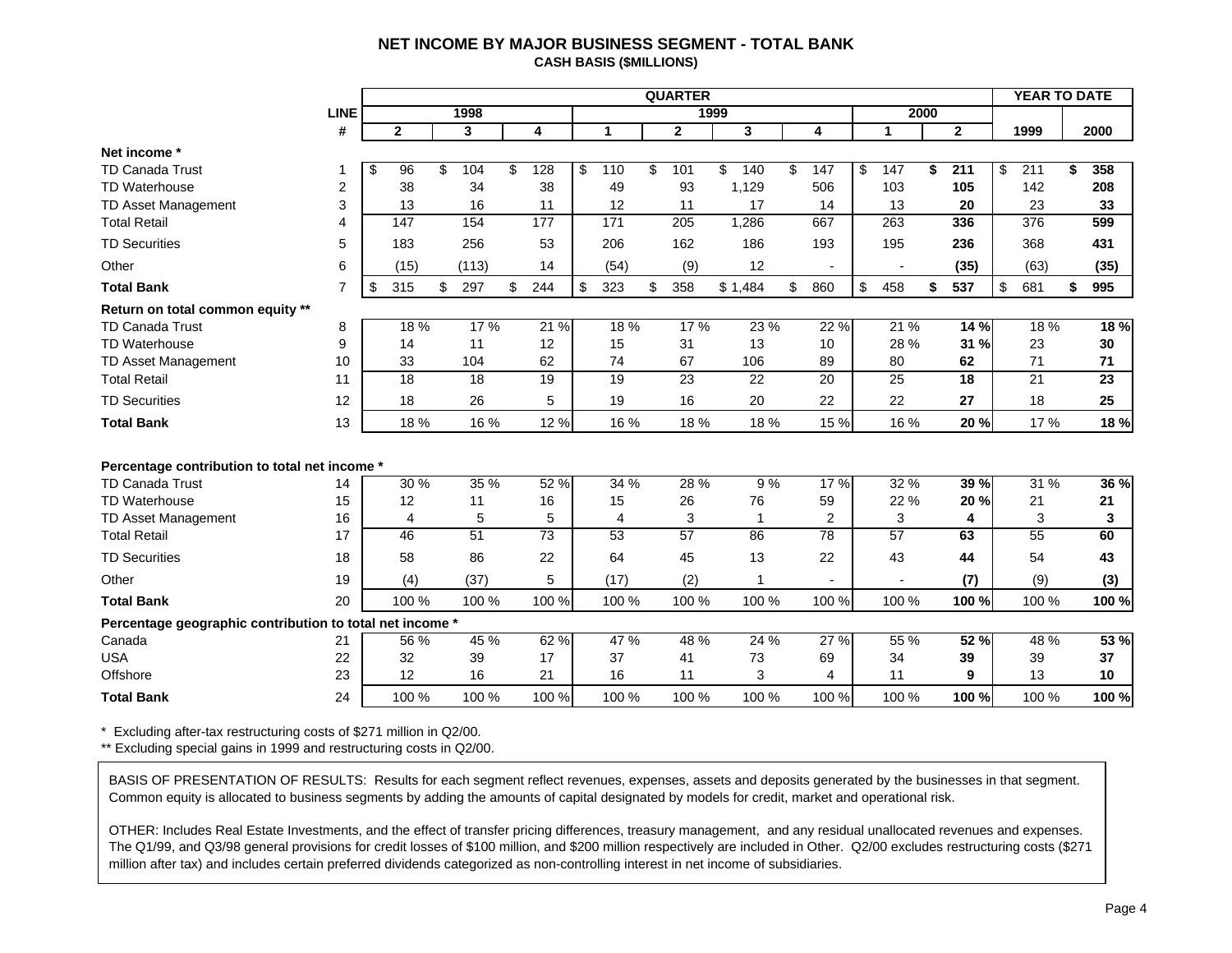#### **NET INCOME BY MAJOR BUSINESS SEGMENT - TOTAL BANK CASH BASIS (\$MILLIONS)**

<span id="page-5-0"></span>

|                                                          |                |                 |                 |                 |                 | <b>QUARTER</b>  |      |                 |                 |                 |      |                 | YEAR TO DATE    |    |       |
|----------------------------------------------------------|----------------|-----------------|-----------------|-----------------|-----------------|-----------------|------|-----------------|-----------------|-----------------|------|-----------------|-----------------|----|-------|
|                                                          | <b>LINE</b>    |                 | 1998            |                 |                 |                 | 1999 |                 |                 |                 | 2000 |                 |                 |    |       |
|                                                          | #              | $\mathbf{2}$    | 3               | 4               | 1               | $\mathbf{2}$    |      | 3               | 4               | $\mathbf{1}$    |      | $\mathbf{2}$    | 1999            |    | 2000  |
| Net income *                                             |                |                 |                 |                 |                 |                 |      |                 |                 |                 |      |                 |                 |    |       |
| <b>TD Canada Trust</b>                                   | -1             | \$<br>96        | \$<br>104       | \$<br>128       | \$<br>110       | \$<br>101       | \$   | 140             | \$<br>147       | \$<br>147       | \$   | 211             | \$<br>211       | ፍ  | 358   |
| <b>TD Waterhouse</b>                                     | 2              | 38              | 34              | 38              | 49              | 93              |      | 1,129           | 506             | 103             |      | 105             | 142             |    | 208   |
| TD Asset Management                                      | 3              | 13              | 16              | 11              | 12              | 11              |      | 17              | 14              | 13              |      | 20              | 23              |    | 33    |
| <b>Total Retail</b>                                      | $\overline{4}$ | 147             | 154             | 177             | 171             | 205             |      | 1,286           | 667             | 263             |      | 336             | 376             |    | 599   |
| <b>TD Securities</b>                                     | 5              | 183             | 256             | 53              | 206             | 162             |      | 186             | 193             | 195             |      | 236             | 368             |    | 431   |
| Other                                                    | 6              | (15)            | (113)           | 14              | (54)            | (9)             |      | 12              |                 |                 |      | (35)            | (63)            |    | (35)  |
| <b>Total Bank</b>                                        | $\overline{7}$ | \$<br>315       | \$<br>297       | \$<br>244       | \$<br>323       | \$<br>358       |      | \$1,484         | \$<br>860       | \$<br>458       | \$   | 537             | \$<br>681       | \$ | 995   |
| Return on total common equity **                         |                |                 |                 |                 |                 |                 |      |                 |                 |                 |      |                 |                 |    |       |
| <b>TD Canada Trust</b>                                   | 8              | 18%             | 17 %            | 21 %            | 18 %            | 17%             |      | 23 %            | 22 %            | 21 %            |      | 14%             | 18 %            |    | 18 %  |
| <b>TD Waterhouse</b>                                     | 9              | 14              | 11              | 12              | 15              | 31              |      | 13              | 10              | 28 %            |      | 31 %            | 23              |    | 30    |
| TD Asset Management                                      | 10             | 33              | 104             | 62              | 74              | 67              |      | 106             | 89              | 80              |      | 62              | 71              |    | 71    |
| <b>Total Retail</b>                                      | 11             | $\overline{18}$ | 18              | $\overline{19}$ | $\overline{19}$ | $\overline{23}$ |      | $\overline{22}$ | 20              | $\overline{25}$ |      | $\overline{18}$ | $\overline{21}$ |    | 23    |
| <b>TD Securities</b>                                     | 12             | 18              | 26              | 5               | 19              | 16              |      | 20              | 22              | 22              |      | 27              | 18              |    | 25    |
| <b>Total Bank</b>                                        | 13             | 18 %            | 16 %            | 12 %            | 16 %            | 18 %            |      | 18 %            | 15 %            | 16 %            |      | 20 %            | 17 %            |    | 18 %  |
|                                                          |                |                 |                 |                 |                 |                 |      |                 |                 |                 |      |                 |                 |    |       |
| Percentage contribution to total net income *            |                |                 |                 |                 |                 |                 |      |                 |                 |                 |      |                 |                 |    |       |
| <b>TD Canada Trust</b>                                   | 14             | 30%             | 35 %            | 52 %            | 34 %            | 28 %            |      | 9%              | 17%             | 32 %            |      | 39 %            | 31 %            |    | 36 %  |
| <b>TD Waterhouse</b>                                     | 15             | 12              | 11              | 16              | 15              | 26              |      | 76              | 59              | 22 %            |      | 20 %            | 21              |    | 21    |
| TD Asset Management                                      | 16             | 4               | 5               | 5               | 4               | 3               |      | $\overline{1}$  | $\overline{2}$  | 3               |      | 4               | 3               |    | 3     |
| <b>Total Retail</b>                                      | 17             | 46              | $\overline{51}$ | $\overline{73}$ | $\overline{53}$ | 57              |      | 86              | $\overline{78}$ | $\overline{57}$ |      | 63              | $\overline{55}$ |    | 60    |
| <b>TD Securities</b>                                     | 18             | 58              | 86              | 22              | 64              | 45              |      | 13              | 22              | 43              |      | 44              | 54              |    | 43    |
| Other                                                    | 19             | (4)             | (37)            | 5               | (17)            | (2)             |      | 1               |                 |                 |      | (7)             | (9)             |    | (3)   |
| <b>Total Bank</b>                                        | 20             | 100 %           | 100 %           | 100 %           | 100 %           | 100 %           |      | 100 %           | 100 %           | 100 %           |      | 100 %           | 100 %           |    | 100 % |
| Percentage geographic contribution to total net income * |                |                 |                 |                 |                 |                 |      |                 |                 |                 |      |                 |                 |    |       |
| Canada                                                   | 21             | 56 %            | 45 %            | 62 %            | 47 %            | 48 %            |      | 24 %            | 27 %            | 55 %            |      | 52 %            | 48 %            |    | 53 %  |
| <b>USA</b>                                               | 22             | 32              | 39              | 17              | 37              | 41              |      | 73              | 69              | 34              |      | 39              | 39              |    | 37    |
| Offshore                                                 | 23             | 12              | 16              | 21              | 16              | 11              |      | 3               | 4               | 11              |      | 9               | 13              |    | 10    |
| <b>Total Bank</b>                                        | 24             | 100 %           | 100 %           | 100 %           | 100 %           | 100 %           |      | 100 %           | 100 %           | 100 %           |      | 100 %           | 100 %           |    | 100 % |

\* Excluding after-tax restructuring costs of \$271 million in Q2/00.

\*\* Excluding special gains in 1999 and restructuring costs in Q2/00.

BASIS OF PRESENTATION OF RESULTS: Results for each segment reflect revenues, expenses, assets and deposits generated by the businesses in that segment. Common equity is allocated to business segments by adding the amounts of capital designated by models for credit, market and operational risk.

OTHER: Includes Real Estate Investments, and the effect of transfer pricing differences, treasury management, and any residual unallocated revenues and expenses. The Q1/99, and Q3/98 general provisions for credit losses of \$100 million, and \$200 million respectively are included in Other. Q2/00 excludes restructuring costs (\$271 million after tax) and includes certain preferred dividends categorized as non-controlling interest in net income of subsidiaries.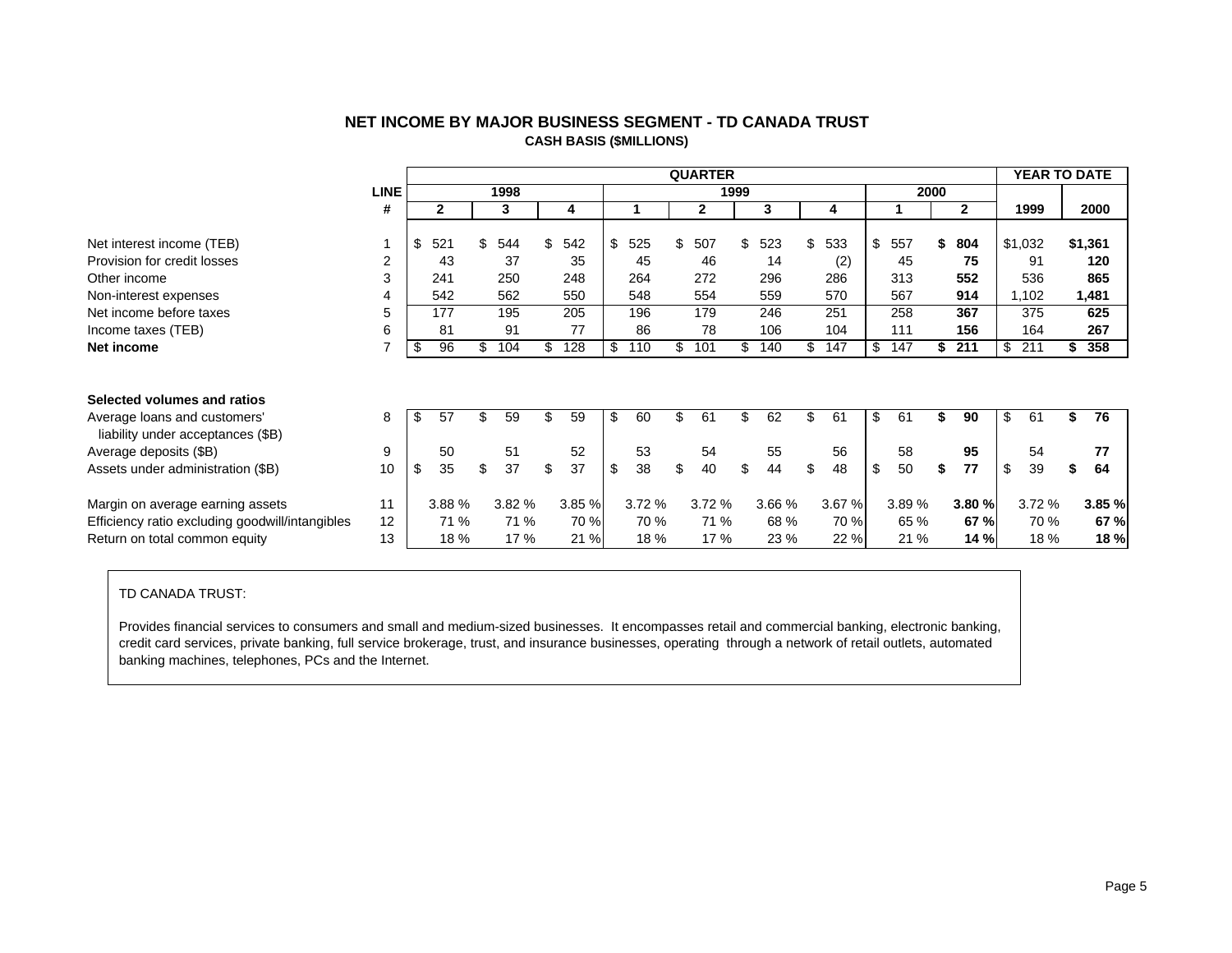<span id="page-6-0"></span>

|                                                                   |                |           |     |       |    |       |           | <b>QUARTER</b> |      |        |     |        |           |      |              | <b>YEAR TO DATE</b> |           |
|-------------------------------------------------------------------|----------------|-----------|-----|-------|----|-------|-----------|----------------|------|--------|-----|--------|-----------|------|--------------|---------------------|-----------|
|                                                                   | <b>LINE</b>    |           |     | 1998  |    |       |           |                | 1999 |        |     |        |           | 2000 |              |                     |           |
|                                                                   | #              | 2         |     | 3     |    | 4     |           | $\mathbf{2}$   |      | 3      |     | 4      |           |      | $\mathbf{2}$ | 1999                | 2000      |
| Net interest income (TEB)                                         |                | \$<br>521 |     | 544   | \$ | 542   | \$<br>525 | \$<br>507      | \$   | 523    | \$  | 533    | 557       | S    | 804          | \$1,032             | \$1,361   |
| Provision for credit losses                                       | $\overline{2}$ | 43        |     | 37    |    | 35    | 45        | 46             |      | 14     |     |        | 45        |      | 75           | 91                  | 120       |
|                                                                   |                |           |     |       |    |       |           |                |      |        |     | (2)    |           |      |              |                     |           |
| Other income                                                      | 3              | 241       |     | 250   |    | 248   | 264       | 272            |      | 296    |     | 286    | 313       |      | 552          | 536                 | 865       |
| Non-interest expenses                                             | 4              | 542       |     | 562   |    | 550   | 548       | 554            |      | 559    |     | 570    | 567       |      | 914          | 1,102               | 1,481     |
| Net income before taxes                                           | 5              | 177       |     | 195   |    | 205   | 196       | 179            |      | 246    |     | 251    | 258       |      | 367          | 375                 | 625       |
| Income taxes (TEB)                                                | 6              | 81        |     | 91    |    | 77    | 86        | 78             |      | 106    |     | 104    | 111       |      | 156          | 164                 | 267       |
| Net income                                                        |                | \$<br>96  | \$. | 104   | S  | 128   | \$<br>110 | \$<br>101      | \$   | 140    | \$. | 147    | \$<br>147 | \$   | 211          | \$<br>211           | \$<br>358 |
|                                                                   |                |           |     |       |    |       |           |                |      |        |     |        |           |      |              |                     |           |
| Selected volumes and ratios                                       |                |           |     |       |    |       |           |                |      |        |     |        |           |      |              |                     |           |
| Average loans and customers'<br>liability under acceptances (\$B) | 8              | \$<br>57  | \$  | 59    | \$ | 59    | \$<br>60  | \$<br>61       | \$   | 62     | \$  | 61     | \$<br>61  |      | 90           | \$<br>61            | \$<br>76  |
| Average deposits (\$B)                                            | 9              | 50        |     | 51    |    | 52    | 53        | 54             |      | 55     |     | 56     | 58        |      | 95           | 54                  | 77        |
| Assets under administration (\$B)                                 | 10             | \$<br>35  | \$  | 37    | \$ | 37    | \$<br>38  | \$<br>40       | \$   | 44     | \$  | 48     | \$<br>50  | \$   | 77           | \$<br>39            | \$<br>64  |
| Margin on average earning assets                                  | 11             | 3.88 %    |     | 3.82% |    | 3.85% | 3.72 %    | 3.72 %         |      | 3.66 % |     | 3.67 % | 3.89 %    |      | 3.80 %       | 3.72%               | 3.85 %    |
| Efficiency ratio excluding goodwill/intangibles                   | 12             | 71 %      |     | 71 %  |    | 70 %  | 70 %      | 71 %           |      | 68 %   |     | 70 %   | 65 %      |      | 67 %         | 70 %                | 67 %      |
| Return on total common equity                                     | 13             | 18 %      |     | 17 %  |    | 21 %  | 18 %      | 17 %           |      | 23 %   |     | 22 %   | 21 %      |      | 14 %         | 18 %                | 18 %      |
|                                                                   |                |           |     |       |    |       |           |                |      |        |     |        |           |      |              |                     |           |

# **NET INCOME BY MAJOR BUSINESS SEGMENT - TD CANADA TRUST CASH BASIS (\$MILLIONS)**

#### TD CANADA TRUST:

Provides financial services to consumers and small and medium-sized businesses. It encompasses retail and commercial banking, electronic banking, credit card services, private banking, full service brokerage, trust, and insurance businesses, operating through a network of retail outlets, automated banking machines, telephones, PCs and the Internet.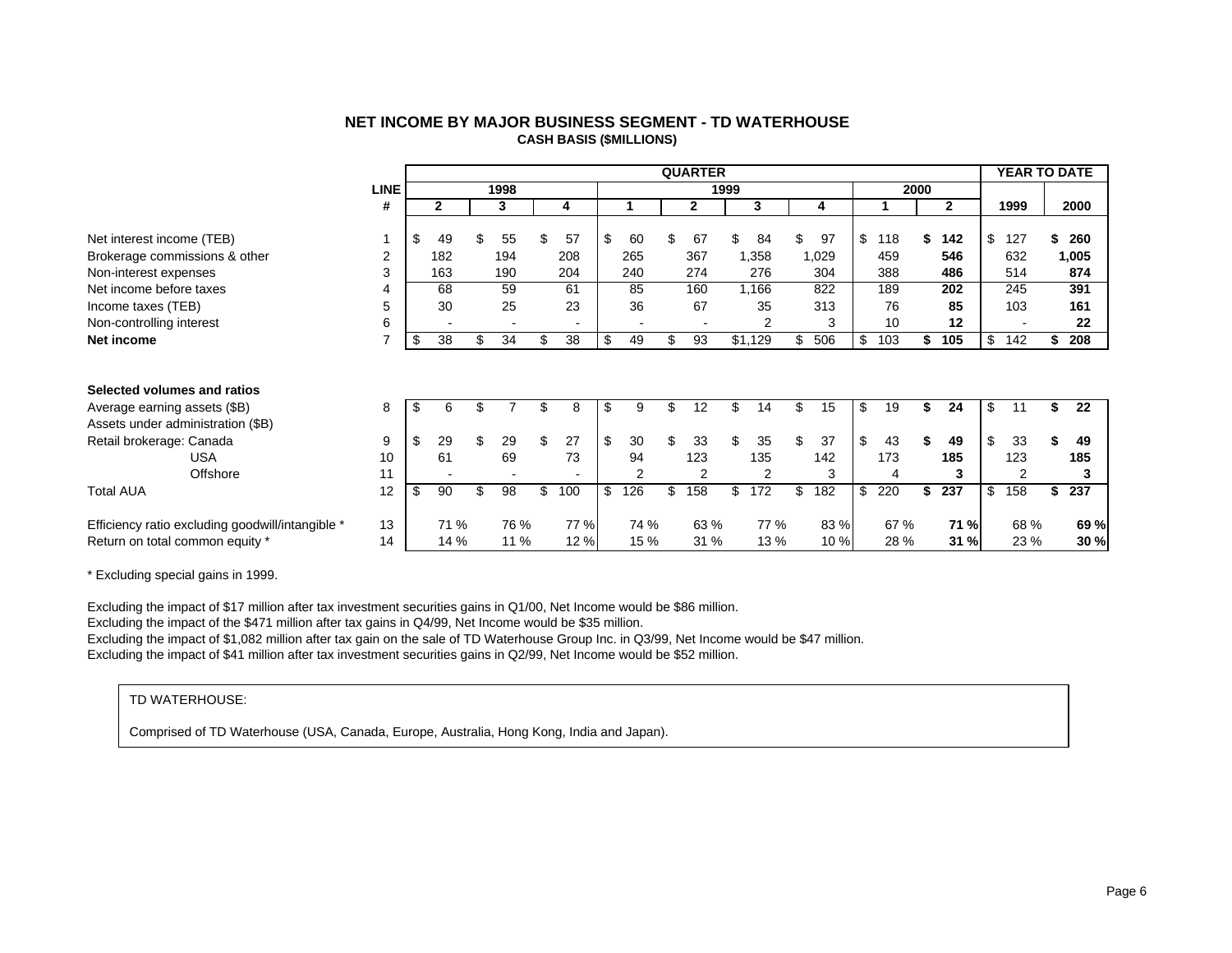<span id="page-7-0"></span>

|                                                  |                |          |     |      |                          |           | <b>QUARTER</b> |      |                |     |       |           |    |              |                         | <b>YEAR TO DATE</b> |       |
|--------------------------------------------------|----------------|----------|-----|------|--------------------------|-----------|----------------|------|----------------|-----|-------|-----------|----|--------------|-------------------------|---------------------|-------|
|                                                  | <b>LINE</b>    |          |     | 1998 |                          |           |                | 1999 |                |     |       | 2000      |    |              |                         |                     |       |
|                                                  | #              | 2        |     | 3    | 4                        |           | 2              |      | 3              |     | 4     |           |    | $\mathbf{2}$ |                         | 1999                | 2000  |
| Net interest income (TEB)                        |                | \$<br>49 |     | 55   | 57                       | \$<br>60  | 67             |      | 84             |     | 97    | \$<br>118 | S  | 142          | \$                      | 127                 | 260   |
| Brokerage commissions & other                    | $\overline{2}$ | 182      |     | 194  | 208                      | 265       | 367            |      | 1,358          |     | 1,029 | 459       |    | 546          |                         | 632                 | 1,005 |
| Non-interest expenses                            | 3              | 163      |     | 190  | 204                      | 240       | 274            |      | 276            |     | 304   | 388       |    | 486          |                         | 514                 | 874   |
| Net income before taxes                          | 4              | 68       |     | 59   | 61                       | 85        | 160            |      | 1,166          |     | 822   | 189       |    | 202          |                         | 245                 | 391   |
| Income taxes (TEB)                               | 5              | 30       |     | 25   | 23                       | 36        | 67             |      | 35             |     | 313   | 76        |    | 85           |                         | 103                 | 161   |
| Non-controlling interest                         | 6              |          |     |      |                          |           |                |      | 2              |     | 3     | 10        |    | 12           |                         |                     | 22    |
| Net income                                       | $\overline{7}$ | \$<br>38 | \$. | 34   | \$<br>38                 | \$<br>49  | \$<br>93       |      | \$1,129        | \$  | 506   | \$<br>103 | \$ | 105          | \$                      | 142                 | 208   |
|                                                  |                |          |     |      |                          |           |                |      |                |     |       |           |    |              |                         |                     |       |
|                                                  |                |          |     |      |                          |           |                |      |                |     |       |           |    |              |                         |                     |       |
| Selected volumes and ratios                      |                |          |     |      |                          |           |                |      |                |     |       |           |    |              |                         |                     |       |
| Average earning assets (\$B)                     | 8              | \$<br>6  |     |      | 8                        | \$<br>9   | 12             | \$.  | 14             | \$. | 15    | \$<br>19  | S  | 24           | \$                      | 11                  | 22    |
| Assets under administration (\$B)                |                |          |     |      |                          |           |                |      |                |     |       |           |    |              |                         |                     |       |
| Retail brokerage: Canada                         | 9              | \$<br>29 |     | 29   | \$<br>27                 | \$<br>30  | 33             | \$   | 35             | \$  | 37    | \$<br>43  | S  | 49           | $\sqrt[6]{\frac{1}{2}}$ | 33                  | 49    |
| <b>USA</b>                                       | 10             | 61       |     | 69   | 73                       | 94        | 123            |      | 135            |     | 142   | 173       |    | 185          |                         | 123                 | 185   |
| Offshore                                         | 11             |          |     |      | $\overline{\phantom{0}}$ | 2         | 2              |      | $\overline{2}$ |     | 3     |           |    | 3            |                         | 2                   | 3     |
| <b>Total AUA</b>                                 | 12             | \$<br>90 |     | 98   | \$<br>100                | \$<br>126 | \$<br>158      | \$   | 172            | \$  | 182   | \$<br>220 | \$ | 237          | \$                      | 158                 | 237   |
|                                                  |                |          |     |      |                          |           |                |      |                |     |       |           |    |              |                         |                     |       |
| Efficiency ratio excluding goodwill/intangible * | 13             | 71 %     |     | 76 % | 77 %                     | 74 %      | 63 %           |      | 77 %           |     | 83 %  | 67 %      |    | 71 %         |                         | 68 %                | 69 %  |
| Return on total common equity *                  | 14             | 14 %     |     | 11 % | 12 %                     | 15 %      | 31 %           |      | 13 %           |     | 10 %  | 28 %      |    | 31 %         |                         | 23 %                | 30 %  |

## **NET INCOME BY MAJOR BUSINESS SEGMENT - TD WATERHOUSE CASH BASIS (\$MILLIONS)**

\* Excluding special gains in 1999.

Excluding the impact of \$17 million after tax investment securities gains in Q1/00, Net Income would be \$86 million.

Excluding the impact of the \$471 million after tax gains in Q4/99, Net Income would be \$35 million.

Excluding the impact of \$1,082 million after tax gain on the sale of TD Waterhouse Group Inc. in Q3/99, Net Income would be \$47 million.

Excluding the impact of \$41 million after tax investment securities gains in Q2/99, Net Income would be \$52 million.

#### TD WATERHOUSE:

Comprised of TD Waterhouse (USA, Canada, Europe, Australia, Hong Kong, India and Japan).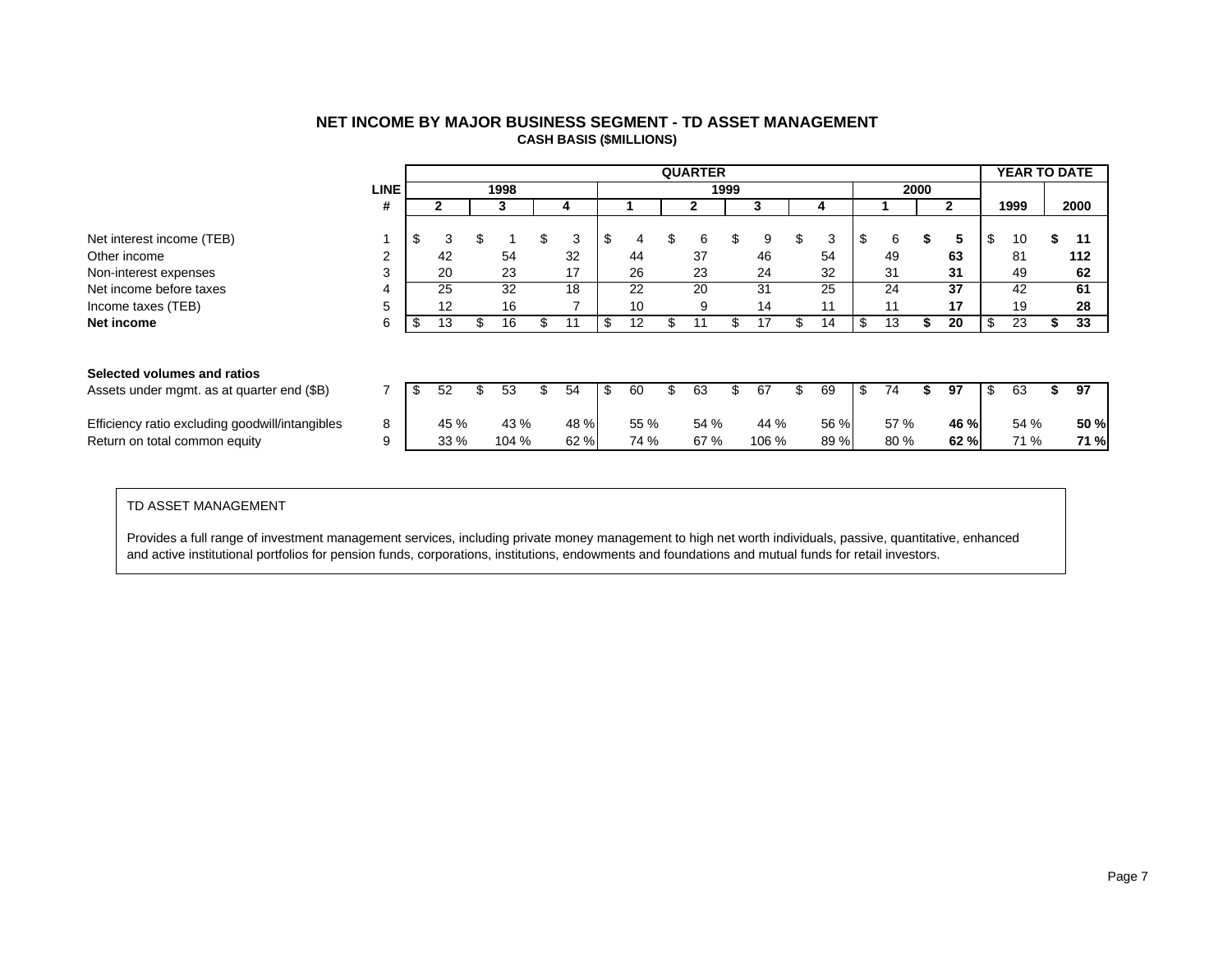<span id="page-8-0"></span>

|                                                 |             |          |       |          |          | <b>QUARTER</b> |      |       |     |      |     |      |   |      | YEAR TO DATE |      |
|-------------------------------------------------|-------------|----------|-------|----------|----------|----------------|------|-------|-----|------|-----|------|---|------|--------------|------|
|                                                 | <b>LINE</b> |          | 1998  |          |          |                | 1999 |       |     |      |     | 2000 |   |      |              |      |
|                                                 | #           |          | 3     | 4        |          | $\mathbf{2}$   |      |       |     | 4    |     |      |   | 2    | 1999         | 2000 |
|                                                 |             |          |       |          |          |                |      |       |     |      |     |      |   |      |              |      |
| Net interest income (TEB)                       |             | \$<br>3  | \$    | \$<br>3  | \$<br>4  | \$<br>6        | \$   | 9     | JЛ. | 3    | \$  | 6    |   | 5    | \$<br>10     | 11   |
| Other income                                    | 2           | 42       | 54    | 32       | 44       | 37             |      | 46    |     | 54   |     | 49   |   | 63   | 81           | 112  |
| Non-interest expenses                           | 3           | 20       | 23    | 17       | 26       | 23             |      | 24    |     | 32   |     | 31   |   | 31   | 49           | 62   |
| Net income before taxes                         | 4           | 25       | 32    | 18       | 22       | 20             |      | 31    |     | 25   |     | 24   |   | 37   | 42           | 61   |
| Income taxes (TEB)                              | 5           | 12       | 16    |          | 10       | 9              |      | 14    |     | 11   |     | 11   |   | 17   | 19           | 28   |
| Net income                                      | 6           | \$<br>13 | 16    | \$<br>11 | \$<br>12 | 11             | \$   | 17    |     | 14   | \$  | 13   | ъ | 20   | 23           | 33   |
|                                                 |             |          |       |          |          |                |      |       |     |      |     |      |   |      |              |      |
|                                                 |             |          |       |          |          |                |      |       |     |      |     |      |   |      |              |      |
| Selected volumes and ratios                     |             |          |       |          |          |                |      |       |     |      |     |      |   |      |              |      |
| Assets under mgmt. as at quarter end (\$B)      |             | \$<br>52 | 53    | \$<br>54 | \$<br>60 | 63             |      | 67    |     | 69   | \$. | 74   |   | 97   | 63           | 97   |
| Efficiency ratio excluding goodwill/intangibles | 8           | 45 %     | 43 %  | 48 %     | 55 %     | 54 %           |      | 44 %  |     | 56 % |     | 57 % |   | 46 % | 54 %         | 50 % |
| Return on total common equity                   | 9           | 33 %     | 104 % | 62%      | 74 %     | 67 %           |      | 106 % |     | 89 % |     | 80 % |   | 62%  | 71 %         | 71 % |
|                                                 |             |          |       |          |          |                |      |       |     |      |     |      |   |      |              |      |

# **NET INCOME BY MAJOR BUSINESS SEGMENT - TD ASSET MANAGEMENT CASH BASIS (\$MILLIONS)**

#### TD ASSET MANAGEMENT

Provides a full range of investment management services, including private money management to high net worth individuals, passive, quantitative, enhanced and active institutional portfolios for pension funds, corporations, institutions, endowments and foundations and mutual funds for retail investors.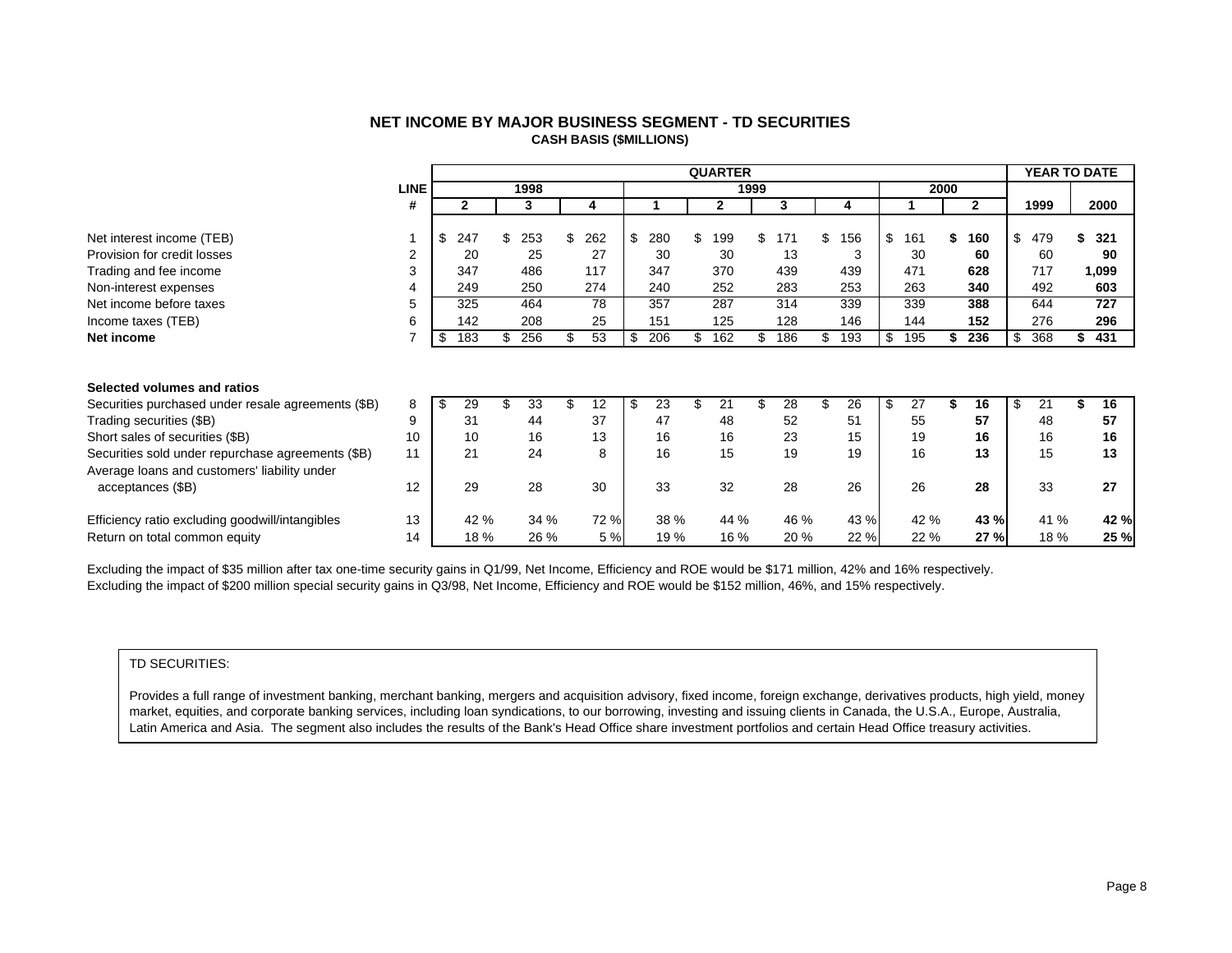| NET INCOME BY MAJOR BUSINESS SEGMENT - TD SECURITIES |
|------------------------------------------------------|
| <b>CASH BASIS (\$MILLIONS)</b>                       |

<span id="page-9-0"></span>

|                                                    |             |           |     |      |           |           | <b>QUARTER</b> |      |      |     |      |           |      |              | <b>YEAR TO DATE</b> |       |
|----------------------------------------------------|-------------|-----------|-----|------|-----------|-----------|----------------|------|------|-----|------|-----------|------|--------------|---------------------|-------|
|                                                    | <b>LINE</b> |           |     | 1998 |           |           |                | 1999 |      |     |      |           | 2000 |              |                     |       |
|                                                    | #           | 2         |     | 3    | 4         |           | $\mathbf{2}$   |      | 3    |     | 4    |           |      | $\mathbf{2}$ | 1999                | 2000  |
|                                                    |             |           |     |      |           |           |                |      |      |     |      |           |      |              |                     |       |
| Net interest income (TEB)                          |             | \$<br>247 | \$. | 253  | \$<br>262 | \$<br>280 | \$<br>199      | \$   | 171  | \$  | 156  | \$<br>161 |      | 160          | \$<br>479           | 321   |
| Provision for credit losses                        | 2           | 20        |     | 25   | 27        | 30        | 30             |      | 13   |     | 3    | 30        |      | 60           | 60                  | 90    |
| Trading and fee income                             | 3           | 347       |     | 486  | 117       | 347       | 370            |      | 439  |     | 439  | 471       |      | 628          | 717                 | 1,099 |
| Non-interest expenses                              | 4           | 249       |     | 250  | 274       | 240       | 252            |      | 283  |     | 253  | 263       |      | 340          | 492                 | 603   |
| Net income before taxes                            | 5           | 325       |     | 464  | 78        | 357       | 287            |      | 314  |     | 339  | 339       |      | 388          | 644                 | 727   |
| Income taxes (TEB)                                 | 6           | 142       |     | 208  | 25        | 151       | 125            |      | 128  |     | 146  | 144       |      | 152          | 276                 | 296   |
| Net income                                         |             | \$<br>183 | \$  | 256  | \$<br>53  | \$<br>206 | \$<br>162      | \$   | 186  | \$. | 193  | \$<br>195 |      | 236          | \$<br>368           | 431   |
|                                                    |             |           |     |      |           |           |                |      |      |     |      |           |      |              |                     |       |
|                                                    |             |           |     |      |           |           |                |      |      |     |      |           |      |              |                     |       |
| Selected volumes and ratios                        |             |           |     |      |           |           |                |      |      |     |      |           |      |              |                     |       |
| Securities purchased under resale agreements (\$B) | 8           | \$<br>29  | \$. | 33   | \$<br>12  | \$<br>23  | 21             |      | 28   |     | 26   | \$<br>27  |      | 16           | \$<br>21            | 16    |
| Trading securities (\$B)                           | 9           | 31        |     | 44   | 37        | 47        | 48             |      | 52   |     | 51   | 55        |      | 57           | 48                  | 57    |
| Short sales of securities (\$B)                    | 10          | 10        |     | 16   | 13        | 16        | 16             |      | 23   |     | 15   | 19        |      | 16           | 16                  | 16    |
| Securities sold under repurchase agreements (\$B)  | 11          | 21        |     | 24   | 8         | 16        | 15             |      | 19   |     | 19   | 16        |      | 13           | 15                  | 13    |
| Average loans and customers' liability under       |             |           |     |      |           |           |                |      |      |     |      |           |      |              |                     |       |
| acceptances (\$B)                                  | 12          | 29        |     | 28   | 30        | 33        | 32             |      | 28   |     | 26   | 26        |      | 28           | 33                  | 27    |
|                                                    |             |           |     |      |           |           |                |      |      |     |      |           |      |              |                     |       |
| Efficiency ratio excluding goodwill/intangibles    | 13          | 42 %      |     | 34 % | 72 %      | 38 %      | 44 %           |      | 46 % |     | 43 % | 42 %      |      | 43 %         | 41 %                | 42 %  |
| Return on total common equity                      | 14          | 18%       |     | 26 % | 5 %       | 19 %      | 16 %           |      | 20 % |     | 22 % | 22 %      |      | 27 %         | 18 %                | 25 %  |

Excluding the impact of \$35 million after tax one-time security gains in Q1/99, Net Income, Efficiency and ROE would be \$171 million, 42% and 16% respectively. Excluding the impact of \$200 million special security gains in Q3/98, Net Income, Efficiency and ROE would be \$152 million, 46%, and 15% respectively.

#### TD SECURITIES:

Provides a full range of investment banking, merchant banking, mergers and acquisition advisory, fixed income, foreign exchange, derivatives products, high yield, money market, equities, and corporate banking services, including loan syndications, to our borrowing, investing and issuing clients in Canada, the U.S.A., Europe, Australia, Latin America and Asia. The segment also includes the results of the Bank's Head Office share investment portfolios and certain Head Office treasury activities.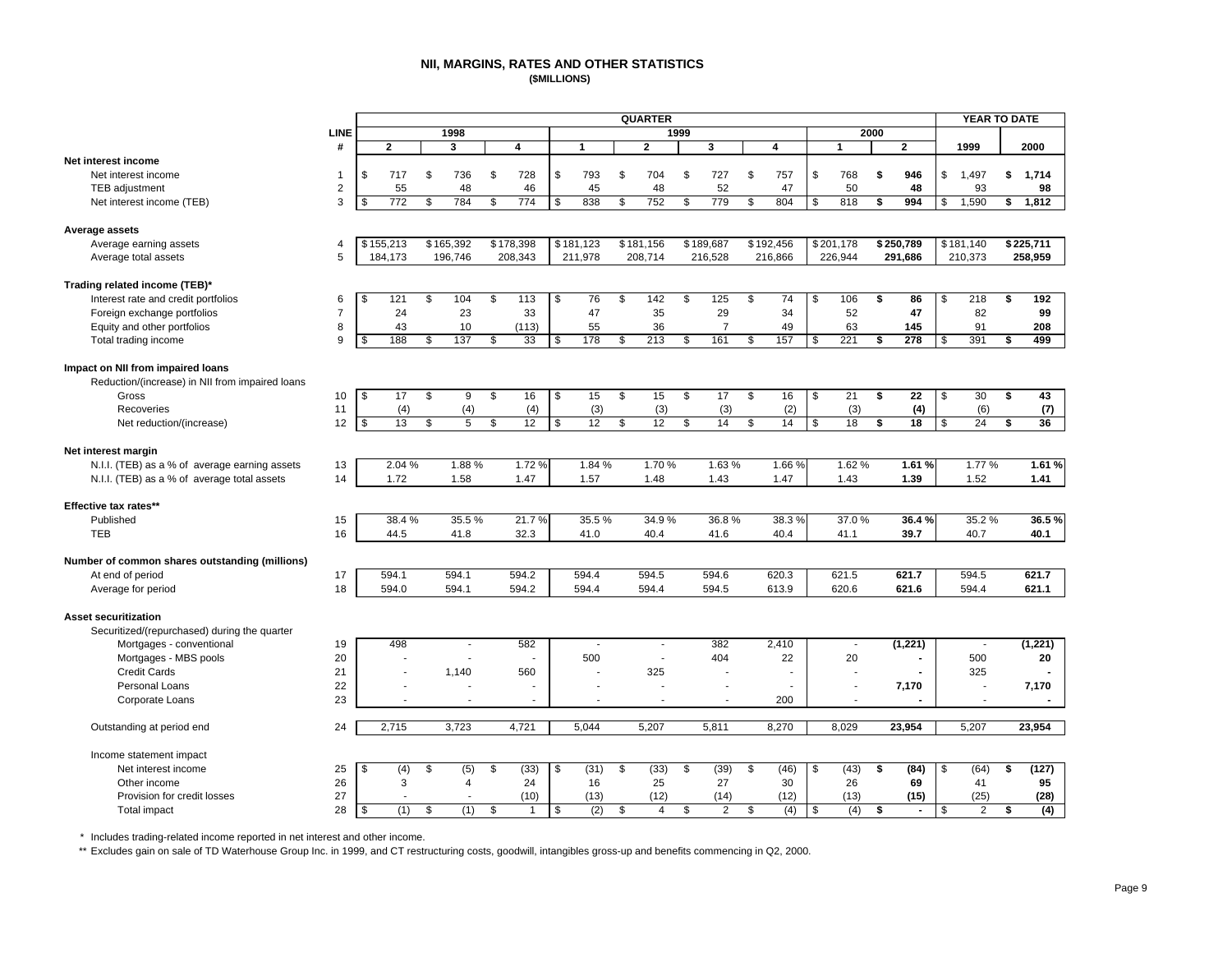#### **NII, MARGINS, RATES AND OTHER STATISTICS (\$MILLIONS)**

<span id="page-10-0"></span>

|                                                 |                |          |                  |           |            |              |              |            | <b>QUARTER</b> |      |                |                    |           |                |      |                | <b>YEAR TO DATE</b>      |             |
|-------------------------------------------------|----------------|----------|------------------|-----------|------------|--------------|--------------|------------|----------------|------|----------------|--------------------|-----------|----------------|------|----------------|--------------------------|-------------|
|                                                 | LINE           |          |                  | 1998      |            |              |              |            |                | 1999 |                |                    |           |                | 2000 |                |                          |             |
|                                                 | #              |          | $\mathbf{2}$     | 3         |            | 4            | $\mathbf{1}$ |            | $\overline{2}$ |      | 3              |                    | 4         | $\mathbf{1}$   |      | $\mathbf{2}$   | 1999                     | 2000        |
| Net interest income                             |                |          |                  |           |            |              |              |            |                |      |                |                    |           |                |      |                |                          |             |
| Net interest income                             | -1             | \$       | 717              | \$<br>736 | \$         | 728          | \$<br>793    | \$         | 704            | \$   | 727            | \$                 | 757       | \$<br>768      | \$   | 946            | \$<br>1,497              | \$<br>1,714 |
| <b>TEB</b> adjustment                           | $\overline{2}$ |          | 55               | 48        |            | 46           | 45           |            | 48             |      | 52             |                    | 47        | 50             |      | 48             | 93                       | 98          |
| Net interest income (TEB)                       | 3              | <b>S</b> | $\overline{772}$ | \$<br>784 | \$         | 774          | \$<br>838    | \$         | 752            | \$   | 779            | \$                 | 804       | \$<br>818      | \$   | 994            | \$<br>1,590              | \$<br>1,812 |
| Average assets                                  |                |          |                  |           |            |              |              |            |                |      |                |                    |           |                |      |                |                          |             |
| Average earning assets                          | $\overline{4}$ |          | \$155,213        | \$165,392 |            | \$178,398    | \$181,123    |            | \$181,156      |      | \$189,687      |                    | \$192,456 | \$201,178      |      | \$250,789      | \$181,140                | \$225,711   |
| Average total assets                            | 5              |          | 184,173          | 196,746   |            | 208,343      | 211,978      |            | 208,714        |      | 216,528        |                    | 216,866   | 226,944        |      | 291,686        | 210,373                  | 258,959     |
|                                                 |                |          |                  |           |            |              |              |            |                |      |                |                    |           |                |      |                |                          |             |
| Trading related income (TEB)*                   |                |          |                  |           |            |              |              |            |                |      |                |                    |           |                |      |                |                          |             |
| Interest rate and credit portfolios             | 6              | \$       | 121              | \$<br>104 | \$         | 113          | \$<br>76     | \$         | 142            | \$   | 125            | \$                 | 74        | \$<br>106      | \$   | 86             | \$<br>218                | \$<br>192   |
| Foreign exchange portfolios                     | $\overline{7}$ |          | 24               | 23        |            | 33           | 47           |            | 35             |      | 29             |                    | 34        | 52             |      | 47             | 82                       | 99          |
| Equity and other portfolios                     | 8              |          | 43               | 10        |            | (113)        | 55           |            | 36             |      | $\overline{7}$ |                    | 49        | 63             |      | 145            | 91                       | 208         |
| Total trading income                            | 9              | \$       | 188              | \$<br>137 | \$         | 33           | \$<br>178    | \$         | 213            | \$   | 161            | \$                 | 157       | \$<br>221      | \$   | 278            | \$<br>391                | \$<br>499   |
| Impact on NII from impaired loans               |                |          |                  |           |            |              |              |            |                |      |                |                    |           |                |      |                |                          |             |
| Reduction/(increase) in NII from impaired loans |                |          |                  |           |            |              |              |            |                |      |                |                    |           |                |      |                |                          |             |
| Gross                                           | 10             | \$       | 17               | \$<br>9   | \$         | 16           | \$<br>15     | \$         | 15             | \$   | 17             | \$                 | 16        | \$<br>21       | \$   | 22             | \$<br>30                 | \$<br>43    |
| Recoveries                                      | 11             |          | (4)              | (4)       |            | (4)          | (3)          |            | (3)            |      | (3)            |                    | (2)       | (3)            |      | (4)            | (6)                      | (7)         |
|                                                 | 12             | \$       | 13               | \$<br>5   | \$         | 12           | \$<br>12     | \$         | 12             | \$   | 14             | \$                 | 14        | \$<br>18       | \$   | 18             | \$<br>24                 | \$<br>36    |
| Net reduction/(increase)                        |                |          |                  |           |            |              |              |            |                |      |                |                    |           |                |      |                |                          |             |
| Net interest margin                             |                |          |                  |           |            |              |              |            |                |      |                |                    |           |                |      |                |                          |             |
| N.I.I. (TEB) as a % of average earning assets   | 13             |          | 2.04 %           | 1.88%     |            | 1.72%        | 1.84 %       |            | 1.70%          |      | 1.63%          |                    | 1.66%     | 1.62%          |      | 1.61%          | 1.77%                    | 1.61%       |
| N.I.I. (TEB) as a % of average total assets     | 14             |          | 1.72             | 1.58      |            | 1.47         | 1.57         |            | 1.48           |      | 1.43           |                    | 1.47      | 1.43           |      | 1.39           | 1.52                     | 1.41        |
| Effective tax rates**                           |                |          |                  |           |            |              |              |            |                |      |                |                    |           |                |      |                |                          |             |
| Published                                       | 15             |          | 38.4%            | 35.5%     |            | 21.7%        | 35.5%        |            | 34.9%          |      | 36.8%          |                    | 38.3%     | 37.0%          |      | 36.4%          | 35.2%                    | 36.5%       |
| <b>TEB</b>                                      | 16             |          | 44.5             | 41.8      |            | 32.3         | 41.0         |            | 40.4           |      | 41.6           |                    | 40.4      | 41.1           |      | 39.7           | 40.7                     | 40.1        |
|                                                 |                |          |                  |           |            |              |              |            |                |      |                |                    |           |                |      |                |                          |             |
| Number of common shares outstanding (millions)  |                |          |                  |           |            |              |              |            |                |      |                |                    |           |                |      |                |                          |             |
| At end of period                                | 17             |          | 594.1            | 594.1     |            | 594.2        | 594.4        |            | 594.5          |      | 594.6          |                    | 620.3     | 621.5          |      | 621.7          | 594.5                    | 621.7       |
| Average for period                              | 18             |          | 594.0            | 594.1     |            | 594.2        | 594.4        |            | 594.4          |      | 594.5          |                    | 613.9     | 620.6          |      | 621.6          | 594.4                    | 621.1       |
| <b>Asset securitization</b>                     |                |          |                  |           |            |              |              |            |                |      |                |                    |           |                |      |                |                          |             |
| Securitized/(repurchased) during the quarter    |                |          |                  |           |            |              |              |            |                |      |                |                    |           |                |      |                |                          |             |
| Mortgages - conventional                        | 19             |          | 498              | $\sim$    |            | 582          | $\sim$       |            | $\sim$         |      | 382            |                    | 2,410     | $\blacksquare$ |      | (1,221)        | $\overline{\phantom{a}}$ | (1,221)     |
| Mortgages - MBS pools                           | 20             |          |                  |           |            |              | 500          |            | ÷,             |      | 404            |                    | 22        | 20             |      |                | 500                      | 20          |
| <b>Credit Cards</b>                             | 21             |          |                  | 1,140     |            | 560          |              |            | 325            |      | ÷,             |                    | Ĭ.        |                |      |                | 325                      |             |
| Personal Loans                                  |                |          |                  |           |            |              |              |            |                |      |                |                    |           |                |      |                | $\overline{a}$           |             |
|                                                 | 22             |          |                  |           |            |              |              |            |                |      |                |                    |           |                |      | 7,170          |                          | 7,170       |
| Corporate Loans                                 | 23             |          |                  |           |            |              |              |            |                |      |                |                    | 200       |                |      |                | $\overline{a}$           |             |
| Outstanding at period end                       | 24             |          | 2,715            | 3,723     |            | 4,721        | 5,044        |            | 5,207          |      | 5,811          |                    | 8,270     | 8,029          |      | 23,954         | 5,207                    | 23,954      |
| Income statement impact                         |                |          |                  |           |            |              |              |            |                |      |                |                    |           |                |      |                |                          |             |
| Net interest income                             | 25             | \$       | (4)              | \$<br>(5) | $\sqrt{2}$ | (33)         | \$<br>(31)   | $\sqrt{3}$ | (33)           | \$   | (39)           | $\mathbf{\hat{s}}$ | (46)      | \$<br>(43)     | \$   | (84)           | \$<br>(64)               | \$<br>(127) |
| Other income                                    | 26             |          | 3                | 4         |            | 24           | 16           |            | 25             |      | 27             |                    | 30        | 26             |      | 69             | 41                       | 95          |
| Provision for credit losses                     | 27             |          |                  |           |            | (10)         | (13)         |            | (12)           |      | (14)           |                    | (12)      | (13)           |      | (15)           | (25)                     | (28)        |
| Total impact                                    | 28             | \$       | (1)              | \$<br>(1) | \$         | $\mathbf{1}$ | \$<br>(2)    | \$         | $\overline{4}$ | \$   | $\overline{2}$ | \$                 | (4)       | \$<br>(4)      | \$   | $\blacksquare$ | \$<br>2                  | \$<br>(4)   |
|                                                 |                |          |                  |           |            |              |              |            |                |      |                |                    |           |                |      |                |                          |             |

\* Includes trading-related income reported in net interest and other income.

\*\* Excludes gain on sale of TD Waterhouse Group Inc. in 1999, and CT restructuring costs, goodwill, intangibles gross-up and benefits commencing in Q2, 2000.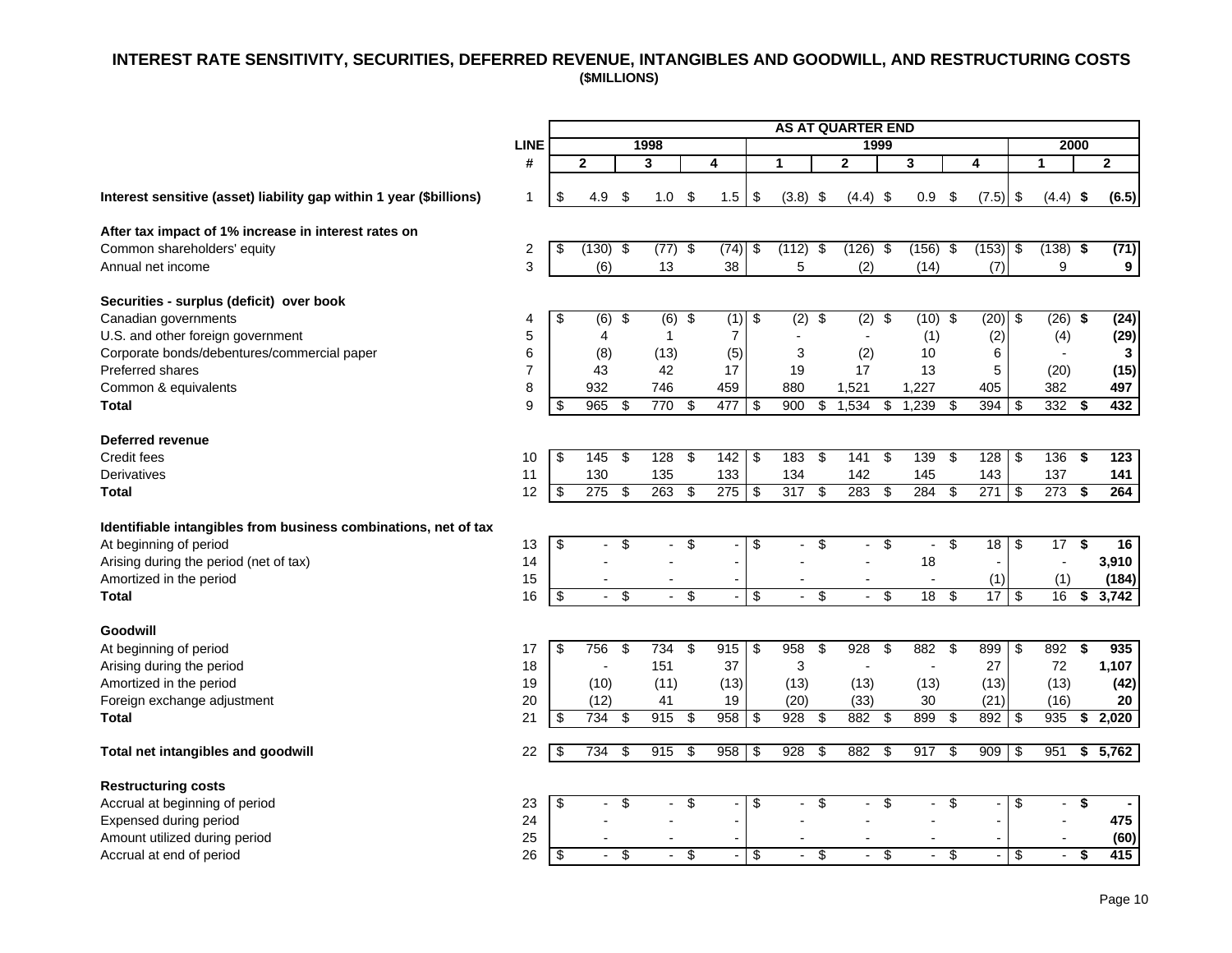# <span id="page-11-0"></span> **INTEREST RATE SENSITIVITY, SECURITIES, DEFERRED REVENUE, INTANGIBLES AND GOODWILL, AND RESTRUCTURING COSTS (\$MILLIONS)**

|                                                                     |                |                         |                           |     |                |                                  |      |                         |                |                          | <b>AS AT QUARTER END</b> |                          |                          |                 |                 |                         |            |     |                  |
|---------------------------------------------------------------------|----------------|-------------------------|---------------------------|-----|----------------|----------------------------------|------|-------------------------|----------------|--------------------------|--------------------------|--------------------------|--------------------------|-----------------|-----------------|-------------------------|------------|-----|------------------|
|                                                                     | <b>LINE</b>    |                         |                           |     | 1998           |                                  |      |                         |                |                          | 1999                     |                          |                          |                 |                 |                         | 2000       |     |                  |
|                                                                     | #              |                         | $\overline{2}$            |     | 3              |                                  | 4    |                         | 1              |                          | $\mathbf{2}$             |                          | 3                        |                 | 4               |                         | 1          |     | $\mathbf{2}$     |
| Interest sensitive (asset) liability gap within 1 year (\$billions) | $\mathbf{1}$   | \$                      | 4.9                       | \$  | 1.0            | \$                               | 1.5  | \$                      | $(3.8)$ \$     |                          | $(4.4)$ \$               |                          | 0.9                      | \$              | $(7.5)$ \$      |                         | $(4.4)$ \$ |     | (6.5)            |
| After tax impact of 1% increase in interest rates on                |                |                         |                           |     |                |                                  |      |                         |                |                          |                          |                          |                          |                 |                 |                         |            |     |                  |
| Common shareholders' equity                                         | 2              | \$                      | $(130)$ \$                |     | $(77)$ \$      |                                  | (74) | $\overline{\mathbf{e}}$ | $(112)$ \$     |                          | $(126)$ \$               |                          | $(156)$ \$               |                 | $(153)$ \$      |                         | $(138)$ \$ |     | (71)             |
| Annual net income                                                   | 3              |                         | (6)                       |     | 13             |                                  | 38   |                         | 5              |                          | (2)                      |                          | (14)                     |                 | (7)             |                         | 9          |     | 9                |
| Securities - surplus (deficit) over book                            |                |                         |                           |     |                |                                  |      |                         |                |                          |                          |                          |                          |                 |                 |                         |            |     |                  |
| Canadian governments                                                | 4              | \$                      | $(6)$ \$                  |     | $(6)$ \$       |                                  | (1)  | \$                      | $(2)$ \$       |                          | $(2)$ \$                 |                          | $(10)$ \$                |                 | (20)            | -\$                     | (26)       | -\$ | (24)             |
| U.S. and other foreign government                                   | 5              |                         | $\overline{4}$            |     | 1              |                                  | 7    |                         |                |                          |                          |                          | (1)                      |                 | (2)             |                         | (4)        |     | (29)             |
| Corporate bonds/debentures/commercial paper                         | 6              |                         | (8)                       |     | (13)           |                                  | (5)  |                         | 3              |                          | (2)                      |                          | 10                       |                 | 6               |                         |            |     | $\mathbf{3}$     |
| <b>Preferred shares</b>                                             | $\overline{7}$ |                         | 43                        |     | 42             |                                  | 17   |                         | 19             |                          | 17                       |                          | 13                       |                 | 5               |                         | (20)       |     | (15)             |
| Common & equivalents                                                | 8              |                         | 932                       |     | 746            |                                  | 459  |                         | 880            |                          | 1,521                    |                          | 1,227                    |                 | 405             |                         | 382        |     | 497              |
| <b>Total</b>                                                        | 9              | \$                      | 965                       | \$  | 770            | \$                               | 477  | $\overline{\mathbf{e}}$ | 900            | $\overline{\mathcal{G}}$ | 1,534                    | $\overline{\mathbf{e}}$  | 1.239                    | \$              | 394             | -\$                     | 332        | \$  | 432              |
| Deferred revenue                                                    |                |                         |                           |     |                |                                  |      |                         |                |                          |                          |                          |                          |                 |                 |                         |            |     |                  |
| Credit fees                                                         | 10             | \$                      | 145                       | -\$ | 128            | \$                               | 142  | $\overline{\mathbf{e}}$ | 183            | \$                       | $141$ \$                 |                          | 139                      | \$              | 128             | \$                      | 136        | \$  | $\overline{123}$ |
| Derivatives                                                         | 11             |                         | 130                       |     | 135            |                                  | 133  |                         | 134            |                          | 142                      |                          | 145                      |                 | 143             |                         | 137        |     | 141              |
| <b>Total</b>                                                        | 12             | $\overline{\mathbf{e}}$ | 275                       | \$  | 263            | \$                               | 275  | $\overline{\mathbf{e}}$ | 317            | \$                       | 283                      | \$                       | 284                      | \$              | 271             | $\sqrt[6]{2}$           | 273        | \$  | 264              |
| Identifiable intangibles from business combinations, net of tax     |                |                         |                           |     |                |                                  |      |                         |                |                          |                          |                          |                          |                 |                 |                         |            |     |                  |
| At beginning of period                                              | 13             | \$                      |                           | \$  |                | \$                               |      | \$                      |                | \$                       |                          | \$                       |                          | \$              | 18              | \$                      | 17         | \$  | 16               |
| Arising during the period (net of tax)                              | 14             |                         |                           |     |                |                                  |      |                         |                |                          |                          |                          | 18                       |                 |                 |                         |            |     | 3,910            |
| Amortized in the period                                             | 15             |                         |                           |     |                |                                  |      |                         |                |                          |                          |                          |                          |                 | (1)             |                         | (1)        |     | (184)            |
| <b>Total</b>                                                        | 16             | $\overline{\mathbf{e}}$ | $\mathbb{Z}^{\mathbb{Z}}$ | \$  | $\blacksquare$ | \$                               |      | $\overline{\mathbf{e}}$ | $\blacksquare$ | $\overline{\mathcal{G}}$ | $\overline{\phantom{a}}$ | $\overline{\mathcal{G}}$ | 18                       | \$              | $\overline{17}$ | $\overline{\mathbf{3}}$ | 16         | \$  | 3,742            |
| Goodwill                                                            |                |                         |                           |     |                |                                  |      |                         |                |                          |                          |                          |                          |                 |                 |                         |            |     |                  |
| At beginning of period                                              | 17             | \$                      | 756                       | \$  | 734            | \$                               | 915  | $\overline{\$}$         | 958            | \$                       | 928                      | \$                       | 882                      | \$              | 899             | \$                      | 892        | S   | 935              |
| Arising during the period                                           | 18             |                         |                           |     | 151            |                                  | 37   |                         | 3              |                          | $\blacksquare$           |                          |                          |                 | 27              |                         | 72         |     | 1,107            |
| Amortized in the period                                             | 19             |                         | (10)                      |     | (11)           |                                  | (13) |                         | (13)           |                          | (13)                     |                          | (13)                     |                 | (13)            |                         | (13)       |     | (42)             |
| Foreign exchange adjustment                                         | 20             |                         | (12)                      |     | 41             |                                  | 19   |                         | (20)           |                          | (33)                     |                          | 30                       |                 | (21)            |                         | (16)       |     | 20               |
| <b>Total</b>                                                        | 21             | \$                      | 734                       | \$  | 915            | \$                               | 958  | \$                      | 928            | \$                       | 882                      | \$                       | 899                      | \$              | 892             | -\$                     | 935        | \$  | 2,020            |
| Total net intangibles and goodwill                                  | 22             | \$                      | 734                       | \$  | 915            | \$                               | 958  | $\overline{\mathbf{e}}$ | 928            | \$                       | 882                      | \$                       | 917                      | \$              | 909             | -\$                     | 951        | \$  | 5,762            |
| <b>Restructuring costs</b>                                          |                |                         |                           |     |                |                                  |      |                         |                |                          |                          |                          |                          |                 |                 |                         |            |     |                  |
| Accrual at beginning of period                                      | 23             | \$                      |                           | \$  |                | $\overline{\boldsymbol{\theta}}$ |      | $\overline{\mathbf{e}}$ |                | \$                       | $\overline{a}$           | \$                       |                          | \$              |                 | \$                      |            | \$  |                  |
| Expensed during period                                              | 24             |                         |                           |     |                |                                  |      |                         |                |                          |                          |                          |                          |                 |                 |                         |            |     | 475              |
| Amount utilized during period                                       | 25             |                         |                           |     |                |                                  |      |                         |                |                          |                          |                          |                          |                 |                 |                         |            |     | (60)             |
| Accrual at end of period                                            | 26             | \$                      | $\blacksquare$            | \$  |                | $\overline{\$}$                  |      | $\overline{\$}$         |                | $\overline{\$}$          | $\blacksquare$           | $\overline{\$}$          | $\overline{\phantom{a}}$ | $\overline{\$}$ |                 | $\overline{\$}$         |            | \$  | 415              |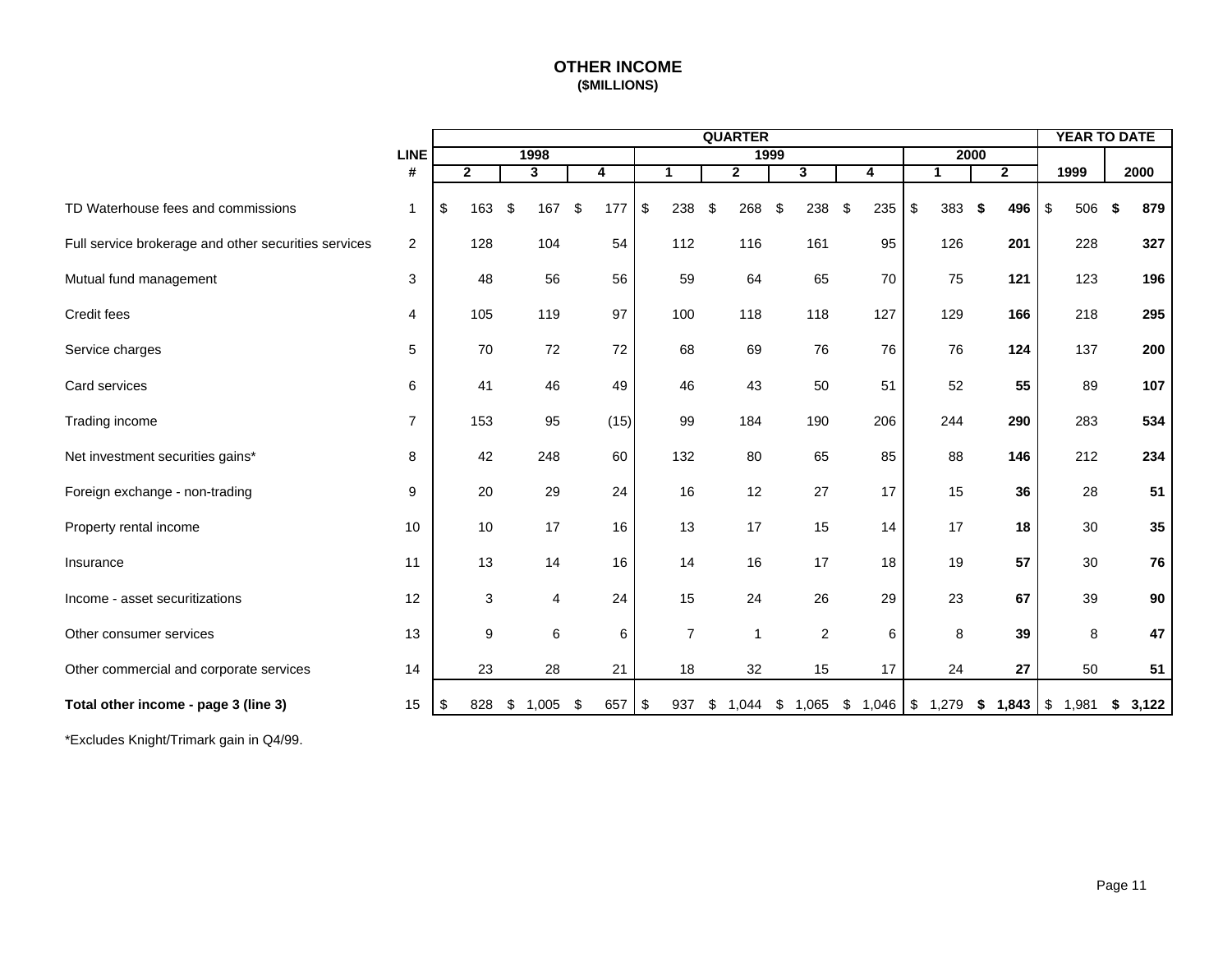# **OTHER INCOME (\$MILLIONS)**

<span id="page-12-0"></span>

|                                                      |                | <b>QUARTER</b> |              |    |       |    |      |                         |                |    |                |      |                |    | <b>YEAR TO DATE</b> |           |                |           |      |        |
|------------------------------------------------------|----------------|----------------|--------------|----|-------|----|------|-------------------------|----------------|----|----------------|------|----------------|----|---------------------|-----------|----------------|-----------|------|--------|
|                                                      | <b>LINE</b>    |                |              |    | 1998  |    |      |                         |                |    |                | 1999 |                |    |                     | 2000      |                |           |      |        |
|                                                      | #              |                | $\mathbf{2}$ |    | 3     |    | 4    |                         | 1              |    | $\overline{2}$ |      | $\mathbf{3}$   |    | 4                   | 1         | $\overline{2}$ | 1999      |      | 2000   |
| TD Waterhouse fees and commissions                   | $\mathbf 1$    | \$             | 163          | \$ | 167   | \$ | 177  | $\sqrt[6]{\frac{1}{2}}$ | 238            | \$ | 268            | \$   | 238            | \$ | 235                 | \$<br>383 | 496<br>-\$     | \$<br>506 | - \$ | 879    |
| Full service brokerage and other securities services | 2              |                | 128          |    | 104   |    | 54   |                         | 112            |    | 116            |      | 161            |    | 95                  | 126       | 201            | 228       |      | 327    |
| Mutual fund management                               | 3              |                | 48           |    | 56    |    | 56   |                         | 59             |    | 64             |      | 65             |    | 70                  | 75        | 121            | 123       |      | 196    |
| Credit fees                                          | 4              |                | 105          |    | 119   |    | 97   |                         | 100            |    | 118            |      | 118            |    | 127                 | 129       | 166            | 218       |      | 295    |
| Service charges                                      | 5              |                | 70           |    | 72    |    | 72   |                         | 68             |    | 69             |      | 76             |    | 76                  | 76        | 124            | 137       |      | 200    |
| Card services                                        | 6              |                | 41           |    | 46    |    | 49   |                         | 46             |    | 43             |      | 50             |    | 51                  | 52        | 55             | 89        |      | 107    |
| Trading income                                       | $\overline{7}$ |                | 153          |    | 95    |    | (15) |                         | 99             |    | 184            |      | 190            |    | 206                 | 244       | 290            | 283       |      | 534    |
| Net investment securities gains*                     | 8              |                | 42           |    | 248   |    | 60   |                         | 132            |    | 80             |      | 65             |    | 85                  | 88        | 146            | 212       |      | 234    |
| Foreign exchange - non-trading                       | 9              |                | 20           |    | 29    |    | 24   |                         | 16             |    | 12             |      | 27             |    | 17                  | 15        | 36             | 28        |      | 51     |
| Property rental income                               | 10             |                | 10           |    | 17    |    | 16   |                         | 13             |    | 17             |      | 15             |    | 14                  | 17        | 18             | 30        |      | 35     |
| Insurance                                            | 11             |                | 13           |    | 14    |    | 16   |                         | 14             |    | 16             |      | 17             |    | 18                  | 19        | 57             | 30        |      | 76     |
| Income - asset securitizations                       | 12             |                | 3            |    | 4     |    | 24   |                         | 15             |    | 24             |      | 26             |    | 29                  | 23        | 67             | 39        |      | $90\,$ |
| Other consumer services                              | 13             |                | 9            |    | 6     |    | 6    |                         | $\overline{7}$ |    | $\overline{1}$ |      | $\overline{2}$ |    | 6                   | 8         | 39             | 8         |      | 47     |
| Other commercial and corporate services              | 14             |                | 23           |    | 28    |    | 21   |                         | 18             |    | 32             |      | 15             |    | 17                  | 24        | 27             | 50        |      | 51     |
| Total other income - page 3 (line 3)                 | 15             | \$             | 828          | \$ | 1,005 | \$ | 657  | \$                      | 937            | S. | 1,044          | \$   | 1,065          |    | $$1,046$ \ \$ 1,279 |           | \$1,843        | \$1,981   | \$   | 3,122  |

\*Excludes Knight/Trimark gain in Q4/99.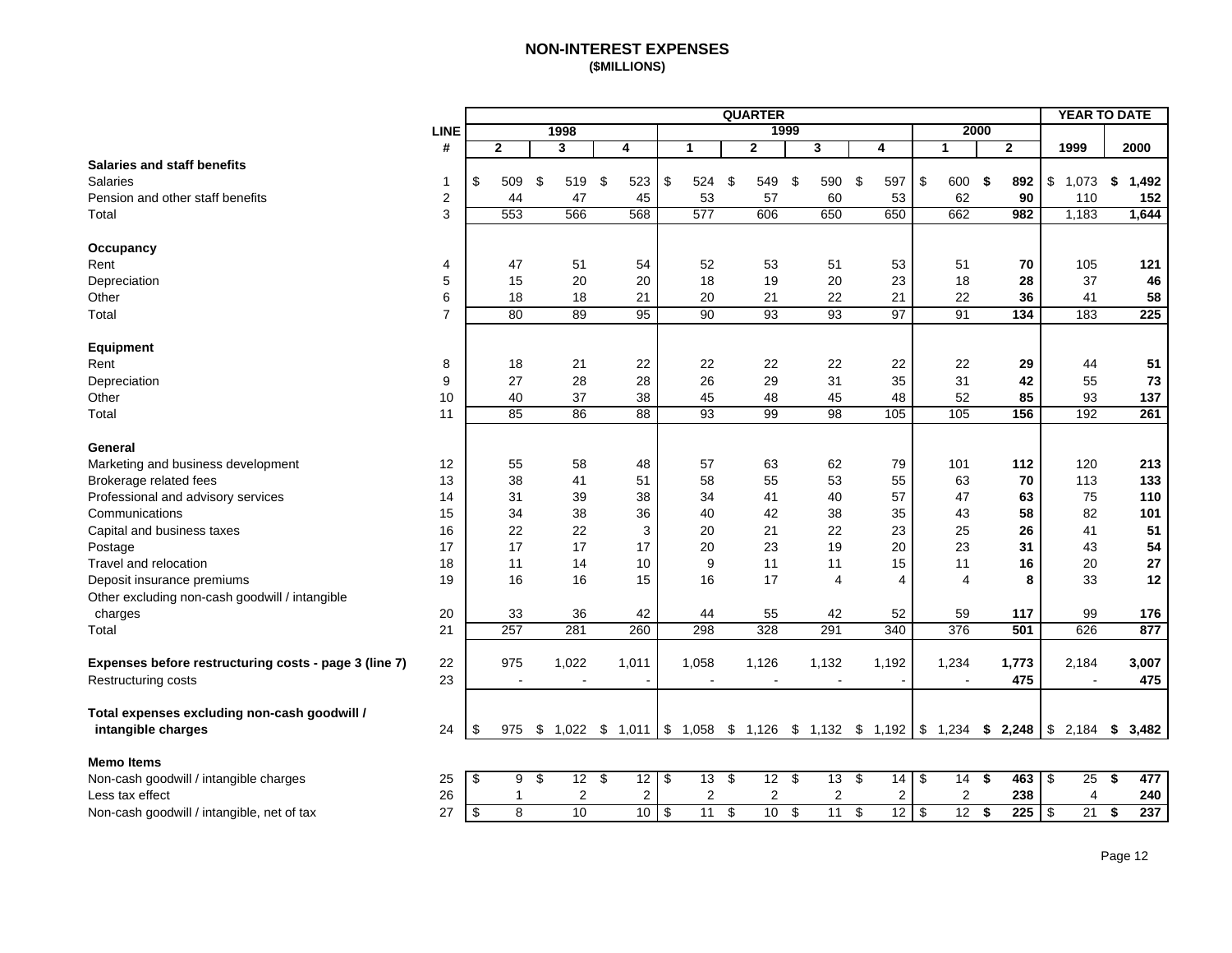## **NON-INTEREST EXPENSES (\$MILLIONS)**

<span id="page-13-0"></span>

|                                                       |                  |                       |                 |                  |       |                 |            |       |     | <b>QUARTER</b> |                          |                                                                                      |           |                |      |              | <b>YEAR TO DATE</b> |      |       |
|-------------------------------------------------------|------------------|-----------------------|-----------------|------------------|-------|-----------------|------------|-------|-----|----------------|--------------------------|--------------------------------------------------------------------------------------|-----------|----------------|------|--------------|---------------------|------|-------|
|                                                       | <b>LINE</b>      |                       |                 | 1998             |       |                 |            |       |     |                | 1999                     |                                                                                      |           |                | 2000 |              |                     |      |       |
|                                                       | #                |                       | $\mathbf{2}$    | 3                | 4     |                 |            | 1     |     | $\mathbf{2}$   |                          | 3                                                                                    | 4         | $\mathbf 1$    |      | $\mathbf{2}$ | 1999                | 2000 |       |
| <b>Salaries and staff benefits</b>                    |                  |                       |                 |                  |       |                 |            |       |     |                |                          |                                                                                      |           |                |      |              |                     |      |       |
| <b>Salaries</b>                                       | $\mathbf{1}$     | \$                    | 509             | \$<br>519        | \$    | 523             | \$         | 524   | -\$ | 549            | \$                       | 590                                                                                  | \$<br>597 | \$<br>600      | \$   | 892          | \$<br>1,073         | \$   | 1,492 |
| Pension and other staff benefits                      | $\boldsymbol{2}$ |                       | 44              | 47               |       | 45              |            | 53    |     | 57             |                          | 60                                                                                   | 53        | 62             |      | 90           | 110                 |      | 152   |
| Total                                                 | 3                |                       | 553             | 566              |       | 568             |            | 577   |     | 606            |                          | 650                                                                                  | 650       | 662            |      | 982          | 1,183               |      | 1,644 |
| Occupancy                                             |                  |                       |                 |                  |       |                 |            |       |     |                |                          |                                                                                      |           |                |      |              |                     |      |       |
| Rent                                                  | 4                |                       | 47              | 51               |       | 54              |            | 52    |     | 53             |                          | 51                                                                                   | 53        | 51             |      | 70           | 105                 |      | 121   |
| Depreciation                                          | 5                |                       | 15              | 20               |       | 20              |            | 18    |     | 19             |                          | 20                                                                                   | 23        | 18             |      | 28           | 37                  |      | 46    |
| Other                                                 | 6                |                       | 18              | 18               |       | 21              |            | 20    |     | 21             |                          | 22                                                                                   | 21        | 22             |      | 36           | 41                  |      | 58    |
| Total                                                 | $\overline{7}$   |                       | $\overline{80}$ | 89               |       | 95              |            | 90    |     | 93             |                          | 93                                                                                   | 97        | 91             |      | 134          | 183                 |      | 225   |
|                                                       |                  |                       |                 |                  |       |                 |            |       |     |                |                          |                                                                                      |           |                |      |              |                     |      |       |
| Equipment                                             | 8                |                       | 18              | 21               |       | 22              |            | 22    |     | 22             |                          | 22                                                                                   | 22        | 22             |      | 29           | 44                  |      | 51    |
| Rent<br>Depreciation                                  | 9                |                       | 27              | 28               |       | 28              |            | 26    |     | 29             |                          | 31                                                                                   | 35        | 31             |      | 42           | 55                  |      | 73    |
| Other                                                 | 10               |                       | 40              | 37               |       | 38              |            | 45    |     | 48             |                          | 45                                                                                   | 48        | 52             |      | 85           | 93                  |      | 137   |
| Total                                                 | 11               |                       | 85              | 86               |       | 88              |            | 93    |     | 99             |                          | 98                                                                                   | 105       | 105            |      | 156          | 192                 |      | 261   |
|                                                       |                  |                       |                 |                  |       |                 |            |       |     |                |                          |                                                                                      |           |                |      |              |                     |      |       |
| General                                               |                  |                       |                 |                  |       |                 |            |       |     |                |                          |                                                                                      |           |                |      |              |                     |      |       |
| Marketing and business development                    | 12               |                       | 55              | 58               |       | 48              |            | 57    |     | 63             |                          | 62                                                                                   | 79        | 101            |      | 112          | 120                 |      | 213   |
| Brokerage related fees                                | 13               |                       | 38              | 41               |       | 51              |            | 58    |     | 55             |                          | 53                                                                                   | 55        | 63             |      | 70           | 113                 |      | 133   |
| Professional and advisory services                    | 14               |                       | 31              | 39               |       | 38              |            | 34    |     | 41             |                          | 40                                                                                   | 57        | 47             |      | 63           | 75                  |      | 110   |
| Communications                                        | 15               |                       | 34              | 38               |       | 36              |            | 40    |     | 42             |                          | 38                                                                                   | 35        | 43             |      | 58           | 82                  |      | 101   |
| Capital and business taxes                            | 16               |                       | 22              | 22               |       | $\mathsf 3$     |            | 20    |     | 21             |                          | 22                                                                                   | 23        | 25             |      | 26           | 41                  |      | 51    |
| Postage                                               | 17               |                       | 17              | 17               |       | 17              |            | 20    |     | 23             |                          | 19                                                                                   | 20        | 23             |      | 31           | 43                  |      | 54    |
| Travel and relocation                                 | 18               |                       | 11              | 14               |       | 10              |            | 9     |     | 11             |                          | 11                                                                                   | 15        | 11             |      | 16           | 20                  |      | 27    |
| Deposit insurance premiums                            | 19               |                       | 16              | 16               |       | 15              |            | 16    |     | 17             |                          | $\overline{4}$                                                                       | 4         | $\overline{4}$ |      | 8            | 33                  |      | 12    |
| Other excluding non-cash goodwill / intangible        |                  |                       |                 |                  |       |                 |            |       |     |                |                          |                                                                                      |           |                |      |              |                     |      |       |
| charges                                               | 20               |                       | 33              | 36               |       | 42              |            | 44    |     | 55             |                          | 42                                                                                   | 52        | 59             |      | 117          | 99                  |      | 176   |
| Total                                                 | 21               |                       | 257             | 281              |       | 260             |            | 298   |     | 328            |                          | 291                                                                                  | 340       | 376            |      | 501          | 626                 |      | 877   |
| Expenses before restructuring costs - page 3 (line 7) | 22               |                       | 975             | 1,022            | 1,011 |                 |            | 1,058 |     | 1,126          |                          | 1,132                                                                                | 1,192     | 1,234          |      | 1,773        | 2,184               |      | 3,007 |
| Restructuring costs                                   | 23               |                       |                 |                  |       |                 |            |       |     |                |                          |                                                                                      |           |                |      | 475          |                     |      | 475   |
|                                                       |                  |                       |                 |                  |       |                 |            |       |     |                |                          |                                                                                      |           |                |      |              |                     |      |       |
| Total expenses excluding non-cash goodwill /          |                  |                       |                 |                  |       |                 |            |       |     |                |                          |                                                                                      |           |                |      |              |                     |      |       |
| intangible charges                                    | 24               | \$                    | 975             | \$1,022          |       |                 |            |       |     |                |                          | \$ 1,011 \\$ 1,058 \\$ 1,126 \\$ 1,132 \\$ 1,192 \\\$ 1,234 \\$ 2,248 \\\$ 2,184 \\$ |           |                |      |              |                     |      | 3,482 |
| <b>Memo Items</b>                                     |                  |                       |                 |                  |       |                 |            |       |     |                |                          |                                                                                      |           |                |      |              |                     |      |       |
| Non-cash goodwill / intangible charges                | 25               | $\boldsymbol{\theta}$ | 9               | \$<br>$12 \quad$ |       | 12              | $\sqrt{3}$ | 13    | \$  | 12             | $\boldsymbol{\vartheta}$ | $13 \quad$                                                                           | 14        | \$<br>14       | \$   | 463          | \$<br>25            | \$   | 477   |
| Less tax effect                                       | 26               |                       | $\mathbf{1}$    | 2                |       | 2               |            | 2     |     | $\overline{c}$ |                          | $\boldsymbol{2}$                                                                     | 2         | $\overline{c}$ |      | 238          | 4                   |      | 240   |
| Non-cash goodwill / intangible, net of tax            | 27               | \$                    | $\overline{8}$  | 10               |       | 10 <sup>°</sup> | -\$        | 11    | \$  | 10             | \$                       | 11                                                                                   | \$<br>12  | \$<br>12       | \$   | 225          | \$<br>21            | \$   | 237   |
|                                                       |                  |                       |                 |                  |       |                 |            |       |     |                |                          |                                                                                      |           |                |      |              |                     |      |       |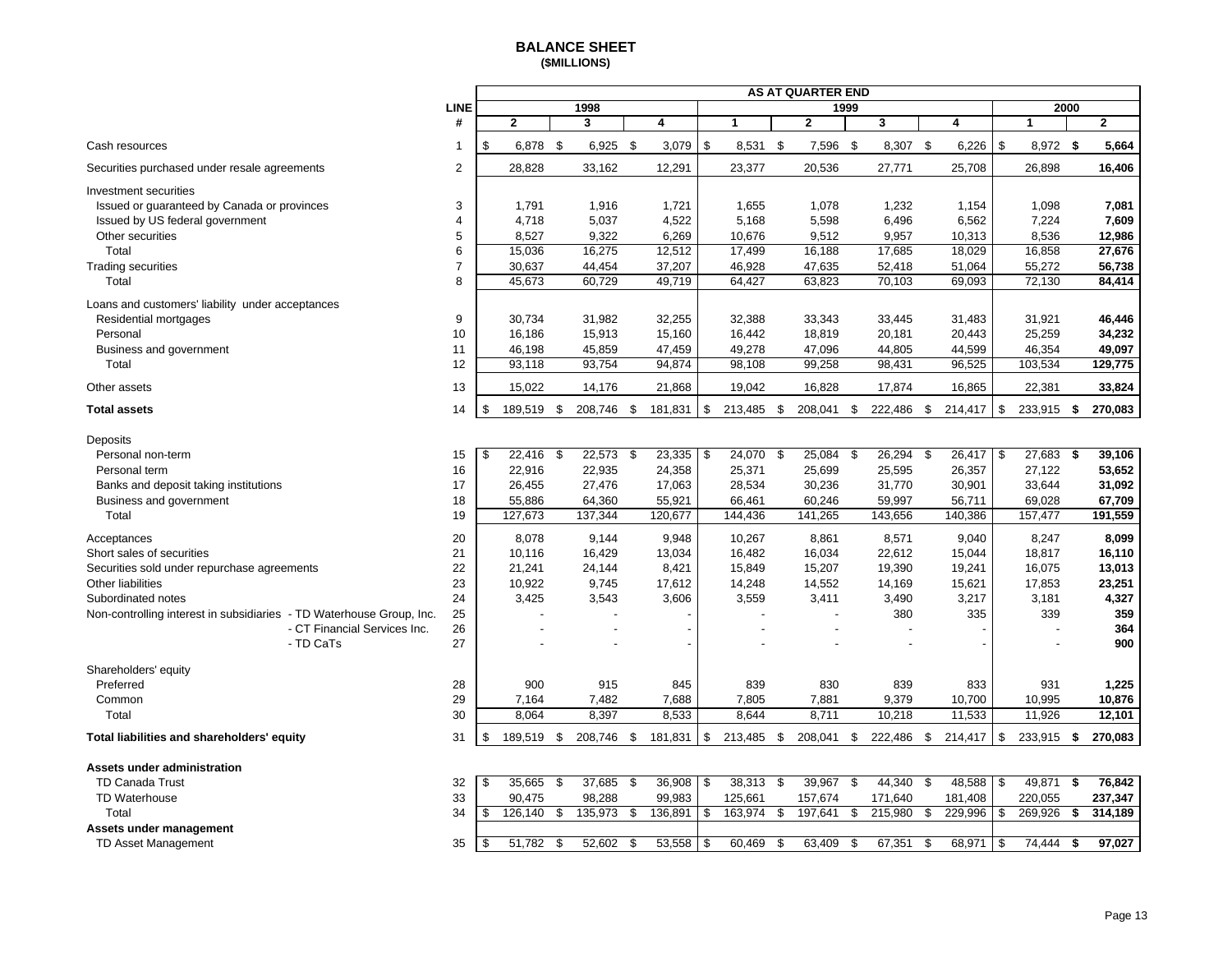#### **BALANCE SHEET (\$MILLIONS)**

<span id="page-14-0"></span>

|                                                                      | <b>AS AT QUARTER END</b> |                  |          |                    |    |                         |    |                |               |                |      |                 |     |                  |               |                  |      |                  |
|----------------------------------------------------------------------|--------------------------|------------------|----------|--------------------|----|-------------------------|----|----------------|---------------|----------------|------|-----------------|-----|------------------|---------------|------------------|------|------------------|
|                                                                      | <b>LINE</b>              |                  |          | 1998               |    |                         |    |                |               |                | 1999 |                 |     |                  |               |                  | 2000 |                  |
|                                                                      | #                        | $\overline{2}$   |          | 3                  |    | $\overline{\mathbf{4}}$ |    | $\mathbf{1}$   |               | $\mathbf{2}$   |      | 3               |     | 4                |               | 1                |      | $\mathbf{2}$     |
| Cash resources                                                       | $\mathbf 1$              | \$               | 6,878 \$ | $6,925$ \$         |    | 3,079                   | \$ | 8,531 \$       |               | 7,596 \$       |      | 8,307           | -\$ | 6,226            | \$            | 8,972 \$         |      | 5,664            |
| Securities purchased under resale agreements                         | $\overline{2}$           | 28,828           |          | 33,162             |    | 12,291                  |    | 23,377         |               | 20,536         |      | 27,771          |     | 25,708           |               | 26,898           |      | 16,406           |
| Investment securities                                                |                          |                  |          |                    |    |                         |    |                |               |                |      |                 |     |                  |               |                  |      |                  |
| Issued or guaranteed by Canada or provinces                          | 3                        | 1,791            |          | 1,916              |    | 1,721                   |    | 1,655          |               | 1,078          |      | 1,232           |     | 1,154            |               | 1,098            |      | 7,081            |
| Issued by US federal government                                      | $\overline{4}$           | 4,718            |          | 5,037              |    | 4,522                   |    | 5,168          |               | 5,598          |      | 6,496           |     | 6,562            |               | 7,224            |      | 7,609            |
| Other securities                                                     | 5                        | 8,527            |          | 9,322              |    | 6,269                   |    | 10,676         |               | 9,512          |      | 9,957           |     | 10,313           |               | 8,536            |      | 12,986           |
| Total                                                                | 6                        | 15,036           |          | 16,275             |    | 12,512                  |    | 17,499         |               | 16,188         |      | 17,685          |     | 18,029           |               | 16,858           |      | 27,676           |
| <b>Trading securities</b>                                            | $\overline{7}$           | 30,637           |          | 44,454             |    | 37,207                  |    | 46,928         |               | 47,635         |      | 52,418          |     | 51,064           |               | 55,272           |      | 56,738           |
| Total                                                                | 8                        | 45,673           |          | 60,729             |    | 49,719                  |    | 64,427         |               | 63,823         |      | 70,103          |     | 69,093           |               | 72,130           |      | 84,414           |
| Loans and customers' liability under acceptances                     |                          |                  |          |                    |    |                         |    |                |               |                |      |                 |     |                  |               |                  |      |                  |
| Residential mortgages                                                | 9                        | 30,734           |          | 31,982             |    | 32,255                  |    | 32,388         |               | 33,343         |      | 33,445          |     | 31,483           |               | 31,921           |      | 46,446           |
| Personal                                                             | 10                       | 16,186           |          | 15,913             |    | 15,160                  |    | 16,442         |               | 18,819         |      | 20,181          |     | 20,443           |               | 25,259           |      | 34,232           |
| Business and government                                              | 11                       | 46,198           |          | 45,859             |    | 47,459                  |    | 49,278         |               | 47,096         |      | 44,805          |     | 44,599           |               | 46,354           |      | 49,097           |
| Total                                                                | 12                       | 93,118           |          | 93,754             |    | 94,874                  |    | 98,108         |               | 99,258         |      | 98,431          |     | 96,525           |               | 103,534          |      | 129,775          |
| Other assets                                                         | 13                       | 15,022           |          | 14,176             |    | 21,868                  |    | 19,042         |               | 16,828         |      | 17,874          |     | 16,865           |               | 22,381           |      | 33,824           |
| <b>Total assets</b>                                                  | 14                       | \$<br>189,519 \$ |          | 208,746 \$         |    | 181,831                 | \$ | 213,485 \$     |               | 208,041 \$     |      | 222,486 \$      |     | 214,417          | $\sqrt[3]{5}$ | 233,915 \$       |      | 270,083          |
| Deposits                                                             |                          |                  |          |                    |    |                         |    |                |               |                |      |                 |     |                  |               |                  |      |                  |
| Personal non-term                                                    | 15                       | \$<br>22,416     | \$       | 22,573             | \$ | 23,335                  | \$ | 24,070         | $\mathfrak s$ | 25,084         | \$   | 26,294          | \$  | 26,417           | \$            | 27,683           | \$   | 39,106           |
| Personal term                                                        | 16                       | 22,916           |          | 22,935             |    | 24,358                  |    | 25,371         |               | 25,699         |      | 25,595          |     | 26,357           |               | 27,122           |      | 53,652           |
| Banks and deposit taking institutions                                | 17                       | 26,455           |          | 27,476             |    | 17,063                  |    | 28,534         |               | 30,236         |      | 31,770          |     | 30,901           |               | 33,644           |      | 31,092           |
| Business and government                                              | 18                       | 55,886           |          | 64,360             |    | 55,921                  |    | 66,461         |               | 60,246         |      | 59,997          |     | 56,711           |               | 69,028           |      | 67,709           |
| Total                                                                | 19                       | 127,673          |          | 137,344            |    | 120,677                 |    | 144,436        |               | 141,265        |      | 143,656         |     | 140,386          |               | 157,477          |      | 191,559          |
| Acceptances                                                          | 20                       | 8,078            |          | 9,144              |    | 9,948                   |    | 10,267         |               | 8,861          |      | 8,571           |     | 9,040            |               | 8,247            |      | 8,099            |
| Short sales of securities                                            | 21                       | 10,116           |          | 16,429             |    | 13,034                  |    | 16,482         |               | 16,034         |      | 22,612          |     | 15,044           |               | 18,817           |      | 16,110           |
| Securities sold under repurchase agreements                          | 22                       | 21,241           |          | 24,144             |    | 8,421                   |    | 15,849         |               | 15,207         |      | 19,390          |     | 19,241           |               | 16,075           |      | 13,013           |
| Other liabilities                                                    | 23                       | 10,922           |          | 9,745              |    | 17,612                  |    | 14,248         |               | 14,552         |      | 14,169          |     | 15,621           |               | 17,853           |      | 23,251           |
| Subordinated notes                                                   | 24                       | 3,425            |          | 3,543              |    | 3,606                   |    | 3,559          |               | 3,411          |      | 3,490           |     | 3,217            |               | 3,181            |      | 4,327            |
| Non-controlling interest in subsidiaries - TD Waterhouse Group, Inc. | 25                       |                  |          |                    |    |                         |    |                |               |                |      | 380             |     | 335              |               | 339              |      | 359              |
| - CT Financial Services Inc.                                         | 26                       |                  |          | $\overline{a}$     |    |                         |    |                |               |                |      |                 |     |                  |               |                  |      | 364              |
| - TD CaTs                                                            | 27                       |                  |          |                    |    |                         |    |                |               |                |      |                 |     |                  |               |                  |      | 900              |
|                                                                      |                          |                  |          |                    |    |                         |    |                |               |                |      |                 |     |                  |               |                  |      |                  |
| Shareholders' equity                                                 |                          |                  |          |                    |    |                         |    |                |               |                |      |                 |     |                  |               |                  |      |                  |
| Preferred                                                            | 28                       |                  | 900      | 915                |    | 845                     |    | 839            |               | 830            |      | 839             |     | 833              |               | 931              |      | 1,225            |
| Common<br>Total                                                      | 29<br>30                 | 7,164<br>8.064   |          | 7,482<br>8,397     |    | 7,688<br>8,533          |    | 7,805<br>8.644 |               | 7,881<br>8,711 |      | 9,379<br>10,218 |     | 10,700<br>11,533 |               | 10,995<br>11,926 |      | 10,876<br>12,101 |
|                                                                      |                          |                  |          |                    |    |                         |    |                |               |                |      |                 |     |                  |               |                  |      |                  |
| Total liabilities and shareholders' equity                           | 31                       | \$<br>189,519 \$ |          | 208,746 \$ 181,831 |    |                         | \$ | 213,485 \$     |               | 208,041 \$     |      | 222,486 \$      |     | 214,417          | \$            | 233,915 \$       |      | 270,083          |
| Assets under administration                                          |                          |                  |          |                    |    |                         |    |                |               |                |      |                 |     |                  |               |                  |      |                  |
| <b>TD Canada Trust</b>                                               | 32                       | 35,665<br>\$     | \$       | 37,685             | \$ | 36,908                  | \$ | $38,313$ \$    |               | 39,967         | \$   | 44,340          | -\$ | 48,588           | \$            | 49,871           | \$   | 76,842           |
| TD Waterhouse                                                        | 33                       | 90,475           |          | 98,288             |    | 99,983                  |    | 125,661        |               | 157,674        |      | 171,640         |     | 181,408          |               | 220,055          |      | 237,347          |
| Total                                                                | 34                       | \$<br>126,140    | \$       | 135,973            | \$ | 136,891                 | \$ | 163,974        | \$            | 197,641        | \$   | 215,980         | \$  | 229,996          | \$            | 269,926          | \$   | 314,189          |
| Assets under management                                              |                          |                  |          |                    |    |                         |    |                |               |                |      |                 |     |                  |               |                  |      |                  |
| TD Asset Management                                                  | 35                       | \$<br>51,782     | \$       | 52,602             | \$ | 53,558                  | \$ | 60,469         | \$            | 63,409         | \$   | 67,351          | \$  | 68,971           | \$            | 74,444           | \$   | 97,027           |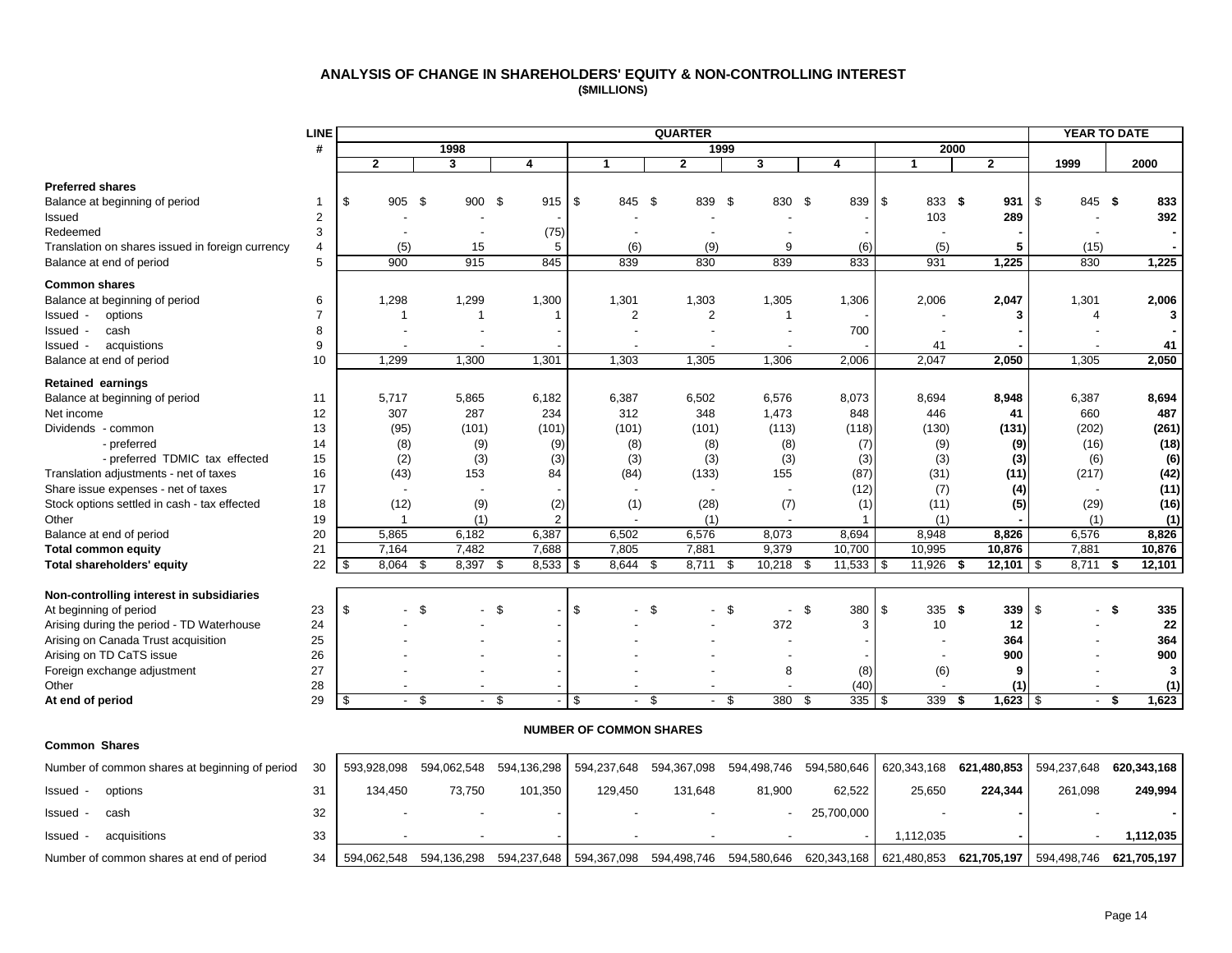#### **ANALYSIS OF CHANGE IN SHAREHOLDERS' EQUITY & NON-CONTROLLING INTEREST (\$MILLIONS)**

<span id="page-15-0"></span>

|                                                  | <b>LINE</b>    |                          |                          |                |                                | <b>QUARTER</b> |              |               |                |                | <b>YEAR TO DATE</b> |              |
|--------------------------------------------------|----------------|--------------------------|--------------------------|----------------|--------------------------------|----------------|--------------|---------------|----------------|----------------|---------------------|--------------|
|                                                  | #              |                          | 1998                     |                |                                |                | 1999         |               | 2000           |                |                     |              |
|                                                  |                | $\overline{2}$           | 3                        | 4              | 1                              | $\mathbf{2}$   | $\mathbf{3}$ | 4             | $\mathbf{1}$   | $\overline{2}$ | 1999                | 2000         |
| <b>Preferred shares</b>                          |                |                          |                          |                |                                |                |              |               |                |                |                     |              |
| Balance at beginning of period                   | 1              | \$<br>905 \$             | 900 \$                   | 915            | \$<br>845 \$                   | 839 \$         | 830 \$       | 839           | \$<br>833 \$   | 931            | \$<br>845 \$        | 833          |
| Issued                                           | $\overline{2}$ |                          |                          |                |                                |                |              |               | 103            | 289            |                     | 392          |
| Redeemed                                         | 3              |                          |                          | (75)           |                                |                |              |               |                |                |                     |              |
| Translation on shares issued in foreign currency | 4              | (5)                      | 15                       | 5              | (6)                            | (9)            | 9            | (6)           | (5)            | 5              | (15)                |              |
| Balance at end of period                         | 5              | 900                      | 915                      | 845            | 839                            | 830            | 839          | 833           | 931            | 1,225          | 830                 | 1,225        |
| <b>Common shares</b>                             |                |                          |                          |                |                                |                |              |               |                |                |                     |              |
| Balance at beginning of period                   | 6              | 1,298                    | 1,299                    | 1,300          | 1,301                          | 1,303          | 1,305        | 1,306         | 2,006          | 2,047          | 1,301               | 2,006        |
| options<br>Issued                                | $\overline{7}$ | -1                       | -1                       | -1             | $\overline{2}$                 | 2              | -1           |               |                | 3              | 4                   | 3            |
| cash<br>Issued                                   | 8              |                          |                          |                |                                |                |              | 700           |                |                |                     |              |
| acquistions<br>Issued                            | 9              |                          |                          |                |                                |                |              |               | 41             |                |                     | 41           |
| Balance at end of period                         | 10             | 1,299                    | 1,300                    | 1,301          | 1,303                          | 1,305          | 1,306        | 2,006         | 2,047          | 2,050          | 1,305               | 2,050        |
| Retained earnings                                |                |                          |                          |                |                                |                |              |               |                |                |                     |              |
| Balance at beginning of period                   | 11             | 5,717                    | 5,865                    | 6,182          | 6,387                          | 6,502          | 6,576        | 8,073         | 8,694          | 8,948          | 6,387               | 8,694        |
| Net income                                       | 12             | 307                      | 287                      | 234            | 312                            | 348            | 1,473        | 848           | 446            | 41             | 660                 | 487          |
| Dividends - common                               | 13             | (95)                     | (101)                    | (101)          | (101)                          | (101)          | (113)        | (118)         | (130)          | (131)          | (202)               | (261)        |
| - preferred                                      | 14             | (8)                      | (9)                      | (9)            | (8)                            | (8)            | (8)          | (7)           | (9)            | (9)            | (16)                | (18)         |
| - preferred TDMIC tax effected                   | 15             | (2)                      | (3)                      | (3)            | (3)                            | (3)            | (3)          | (3)           | (3)            | (3)            | (6)                 | (6)          |
| Translation adjustments - net of taxes           | 16             | (43)                     | 153                      | 84             | (84)                           | (133)          | 155          | (87)          | (31)           | (11)           | (217)               | (42)         |
| Share issue expenses - net of taxes              | 17             |                          |                          |                |                                |                |              | (12)          | (7)            | (4)            |                     | (11)         |
| Stock options settled in cash - tax effected     | 18             | (12)                     | (9)                      | (2)            | (1)                            | (28)           | (7)          | (1)           | (11)           | (5)            | (29)                | (16)         |
| Other                                            | 19             | 1                        | (1)                      | $\overline{2}$ |                                | (1)            |              |               | (1)            |                | (1)                 | (1)          |
| Balance at end of period                         | 20             | 5,865                    | 6,182                    | 6,387          | 6,502                          | 6,576          | 8,073        | 8,694         | 8,948          | 8,826          | 6,576               | 8,826        |
| <b>Total common equity</b>                       | 21             | 7,164                    | 7,482                    | 7,688          | 7,805                          | 7,881          | 9,379        | 10,700        | 10,995         | 10,876         | 7,881               | 10,876       |
| Total shareholders' equity                       | 22             | 8,064<br>\$              | 8,397<br>\$              | 8,533<br>-\$   | 8,644<br>\$                    | 8,711<br>\$    | 10,218<br>\$ | 11,533<br>-\$ | l \$<br>11,926 | 12,101<br>-\$  | \$<br>8,711         | 12,101<br>\$ |
| Non-controlling interest in subsidiaries         |                |                          |                          |                |                                |                |              |               |                |                |                     |              |
| At beginning of period                           | 23             | \$                       | \$                       | - \$           | \$                             | - \$           | - \$         | \$<br>380     | \$<br>335      | - \$<br>339    | \$<br>- \$          | 335          |
| Arising during the period - TD Waterhouse        | 24             |                          |                          |                |                                |                | 372          | 3             | 10             | 12             |                     | 22           |
| Arising on Canada Trust acquisition              | 25             |                          |                          |                |                                |                |              |               |                | 364            |                     | 364          |
| Arising on TD CaTS issue                         | 26             |                          |                          |                |                                |                |              |               |                | 900            |                     | 900          |
| Foreign exchange adjustment                      | 27             |                          |                          |                |                                |                | 8            | (8)           | (6)            | 9              |                     | 3            |
| Other                                            | 28             | $\overline{\phantom{a}}$ | $\overline{\phantom{a}}$ |                | $\overline{\phantom{a}}$       |                |              | (40)          |                | (1)            | $\overline{a}$      | (1)          |
| At end of period                                 | 29             | \$                       | - \$                     | - \$           | \$                             | - \$<br>$\sim$ | \$<br>380    | 335<br>- \$   | 339<br>- \$    | - \$           | - \$                | 1,623        |
|                                                  |                |                          |                          |                |                                |                |              |               |                |                |                     |              |
|                                                  |                |                          |                          |                | <b>NUMBER OF COMMON SHARES</b> |                |              |               |                |                |                     |              |
| <b>Common Shares</b>                             |                |                          |                          |                |                                |                |              |               |                |                |                     |              |
| Number of common shares at beginning of period   | 30             | 593,928,098              | 594,062,548              | 594,136,298    | 594,237,648                    | 594,367,098    | 594,498,746  | 594,580,646   | 620,343,168    | 621,480,853    | 594,237,648         | 620,343,168  |

| Issued | options                                  | 31 | 134.450                                                                                                                              | 73.750 | 101.350 | 129.450 | 131,648 | 81.900 | 62.522     | 25,650    | 224.344 | 261.098 | 249.994     |  |
|--------|------------------------------------------|----|--------------------------------------------------------------------------------------------------------------------------------------|--------|---------|---------|---------|--------|------------|-----------|---------|---------|-------------|--|
| Issued | cash                                     | 32 |                                                                                                                                      |        |         |         |         |        | 25,700,000 |           |         |         |             |  |
| Issued | acquisitions                             |    |                                                                                                                                      |        |         |         |         |        |            | 1.112.035 |         |         | 1.112.035   |  |
|        | Number of common shares at end of period | 34 | 594,062,548 594,136,298 594,237,648   594,367,098 594,498,746 594,580,646 620,343,168   621,480,853 <b>621,705,197</b>   594,498,746 |        |         |         |         |        |            |           |         |         | 621.705.197 |  |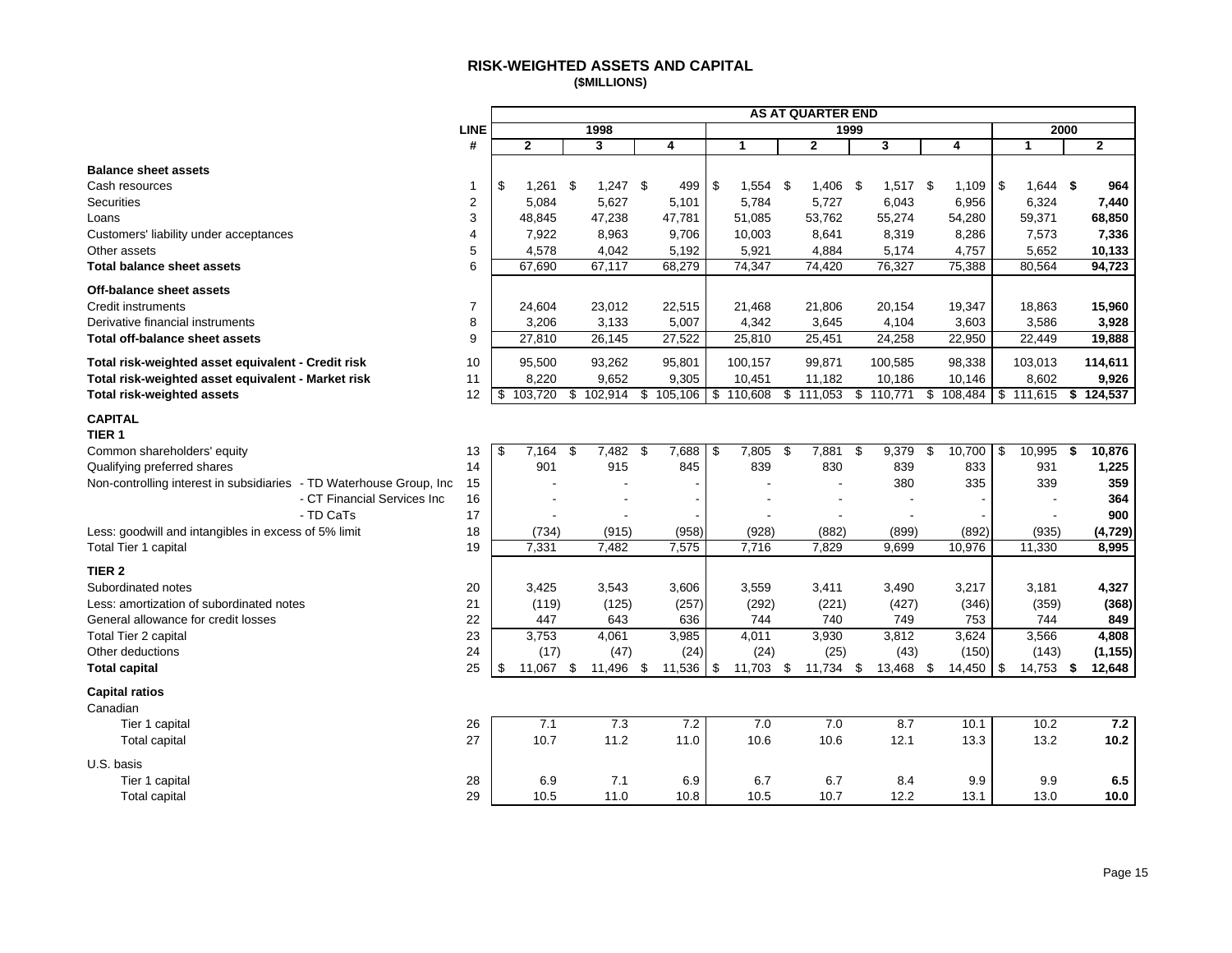#### **RISK-WEIGHTED ASSETS AND CAPITAL (\$MILLIONS)**

<span id="page-16-0"></span>

|                                                                      | <b>AS AT QUARTER END</b> |                  |    |                          |    |           |    |                          |     |                    |      |           |    |           |                  |      |              |
|----------------------------------------------------------------------|--------------------------|------------------|----|--------------------------|----|-----------|----|--------------------------|-----|--------------------|------|-----------|----|-----------|------------------|------|--------------|
|                                                                      | LINE                     |                  |    | 1998                     |    |           |    |                          |     |                    | 1999 |           |    |           | 2000             |      |              |
|                                                                      | #                        | $\mathbf 2$      |    | 3                        |    | 4         |    | $\mathbf{1}$             |     | $\mathbf{2}$       |      | 3         |    | 4         | $\mathbf{1}$     |      | $\mathbf{2}$ |
| <b>Balance sheet assets</b>                                          |                          |                  |    |                          |    |           |    |                          |     |                    |      |           |    |           |                  |      |              |
| Cash resources                                                       | 1                        | \$<br>$1,261$ \$ |    | $1,247$ \$               |    | 499       | \$ | 1,554                    | -\$ | 1,406              | - \$ | 1,517     | \$ | 1,109     | \$<br>$1,644$ \$ |      | 964          |
| <b>Securities</b>                                                    | $\overline{2}$           | 5,084            |    | 5,627                    |    | 5,101     |    | 5,784                    |     | 5,727              |      | 6,043     |    | 6,956     | 6,324            |      | 7,440        |
| Loans                                                                | 3                        | 48,845           |    | 47,238                   |    | 47,781    |    | 51,085                   |     | 53,762             |      | 55,274    |    | 54,280    | 59,371           |      | 68,850       |
| Customers' liability under acceptances                               | $\overline{4}$           | 7,922            |    | 8,963                    |    | 9,706     |    | 10,003                   |     | 8,641              |      | 8,319     |    | 8,286     | 7,573            |      | 7,336        |
| Other assets                                                         | 5                        | 4,578            |    | 4,042                    |    | 5,192     |    | 5,921                    |     | 4,884              |      | 5,174     |    | 4,757     | 5,652            |      | 10,133       |
| <b>Total balance sheet assets</b>                                    | 6                        | 67,690           |    | 67,117                   |    | 68,279    |    | 74,347                   |     | 74,420             |      | 76,327    |    | 75,388    | 80,564           |      | 94,723       |
| Off-balance sheet assets                                             |                          |                  |    |                          |    |           |    |                          |     |                    |      |           |    |           |                  |      |              |
| <b>Credit instruments</b>                                            | $\overline{7}$           | 24,604           |    | 23,012                   |    | 22,515    |    | 21,468                   |     | 21,806             |      | 20,154    |    | 19,347    | 18,863           |      | 15,960       |
| Derivative financial instruments                                     | 8                        | 3,206            |    | 3,133                    |    | 5,007     |    | 4,342                    |     | 3,645              |      | 4,104     |    | 3,603     | 3,586            |      | 3,928        |
| <b>Total off-balance sheet assets</b>                                | 9                        | 27,810           |    | 26,145                   |    | 27,522    |    | 25,810                   |     | 25,451             |      | 24,258    |    | 22,950    | 22,449           |      | 19,888       |
| Total risk-weighted asset equivalent - Credit risk                   | 10                       | 95,500           |    | 93,262                   |    | 95,801    |    | 100,157                  |     | 99,871             |      | 100,585   |    | 98,338    | 103,013          |      | 114,611      |
| Total risk-weighted asset equivalent - Market risk                   | 11                       | 8,220            |    | 9,652                    |    | 9,305     |    | 10,451                   |     | 11,182             |      | 10,186    |    | 10,146    | 8,602            |      | 9,926        |
| <b>Total risk-weighted assets</b>                                    | 12                       | 103,720<br>\$    |    | \$102,914                |    | \$105,106 |    | \$110,608                |     | $\sqrt{3}$ 111,053 |      | \$110,771 |    | \$108,484 | \$111,615        |      | \$124,537    |
| <b>CAPITAL</b><br>TIER <sub>1</sub>                                  |                          |                  |    |                          |    |           |    |                          |     |                    |      |           |    |           |                  |      |              |
| Common shareholders' equity                                          | 13                       | 7.164<br>\$      | \$ | 7,482                    | \$ | 7,688     | \$ | 7,805                    | \$  | 7,881              | \$   | 9,379     | \$ | 10,700    | \$<br>10,995     | \$   | 10,876       |
| Qualifying preferred shares                                          | 14                       | 901              |    | 915                      |    | 845       |    | 839                      |     | 830                |      | 839       |    | 833       | 931              |      | 1,225        |
| Non-controlling interest in subsidiaries - TD Waterhouse Group, Inc. | 15                       |                  |    |                          |    |           |    |                          |     |                    |      | 380       |    | 335       | 339              |      | 359          |
| - CT Financial Services Inc                                          | 16                       |                  |    | $\overline{\phantom{a}}$ |    |           |    | $\overline{\phantom{a}}$ |     |                    |      |           |    |           |                  |      | 364          |
| - TD CaTs                                                            | 17                       |                  |    | $\overline{\phantom{a}}$ |    |           |    |                          |     |                    |      |           |    |           |                  |      | 900          |
| Less: goodwill and intangibles in excess of 5% limit                 | 18                       | (734)            |    | (915)                    |    | (958)     |    | (928)                    |     | (882)              |      | (899)     |    | (892)     | (935)            |      | (4, 729)     |
| Total Tier 1 capital                                                 | 19                       | 7,331            |    | 7,482                    |    | 7,575     |    | 7,716                    |     | 7,829              |      | 9,699     |    | 10,976    | 11,330           |      | 8,995        |
| TIER <sub>2</sub>                                                    |                          |                  |    |                          |    |           |    |                          |     |                    |      |           |    |           |                  |      |              |
| Subordinated notes                                                   | 20                       | 3,425            |    | 3,543                    |    | 3,606     |    | 3,559                    |     | 3,411              |      | 3,490     |    | 3,217     | 3,181            |      | 4,327        |
| Less: amortization of subordinated notes                             | 21                       | (119)            |    | (125)                    |    | (257)     |    | (292)                    |     | (221)              |      | (427)     |    | (346)     | (359)            |      | (368)        |
| General allowance for credit losses                                  | 22                       | 447              |    | 643                      |    | 636       |    | 744                      |     | 740                |      | 749       |    | 753       | 744              |      | 849          |
| Total Tier 2 capital                                                 | 23                       | 3,753            |    | 4,061                    |    | 3,985     |    | 4,011                    |     | 3,930              |      | 3,812     |    | 3,624     | 3,566            |      | 4,808        |
| Other deductions                                                     | 24                       | (17)             |    | (47)                     |    | (24)      |    | (24)                     |     | (25)               |      | (43)      |    | (150)     | (143)            |      | (1, 155)     |
| <b>Total capital</b>                                                 | 25                       | \$<br>11.067     | \$ | 11,496                   | \$ | 11,536    | \$ | 11,703                   | \$  | 11,734             | \$   | 13,468    | \$ | 14,450    | \$<br>14,753     | - \$ | 12,648       |
| <b>Capital ratios</b>                                                |                          |                  |    |                          |    |           |    |                          |     |                    |      |           |    |           |                  |      |              |
| Canadian                                                             |                          |                  |    |                          |    |           |    |                          |     |                    |      |           |    |           |                  |      |              |
| Tier 1 capital                                                       | 26                       | 7.1              |    | 7.3                      |    | 7.2       |    | 7.0                      |     | 7.0                |      | 8.7       |    | 10.1      | 10.2             |      | 7.2          |
| <b>Total capital</b>                                                 | 27                       | 10.7             |    | 11.2                     |    | 11.0      |    | 10.6                     |     | 10.6               |      | 12.1      |    | 13.3      | 13.2             |      | 10.2         |
| U.S. basis                                                           |                          |                  |    |                          |    |           |    |                          |     |                    |      |           |    |           |                  |      |              |
| Tier 1 capital                                                       | 28                       | 6.9              |    | 7.1                      |    | 6.9       |    | 6.7                      |     | 6.7                |      | 8.4       |    | 9.9       | 9.9              |      | 6.5          |
| Total capital                                                        | 29                       | 10.5             |    | 11.0                     |    | 10.8      |    | 10.5                     |     | 10.7               |      | 12.2      |    | 13.1      | 13.0             |      | 10.0         |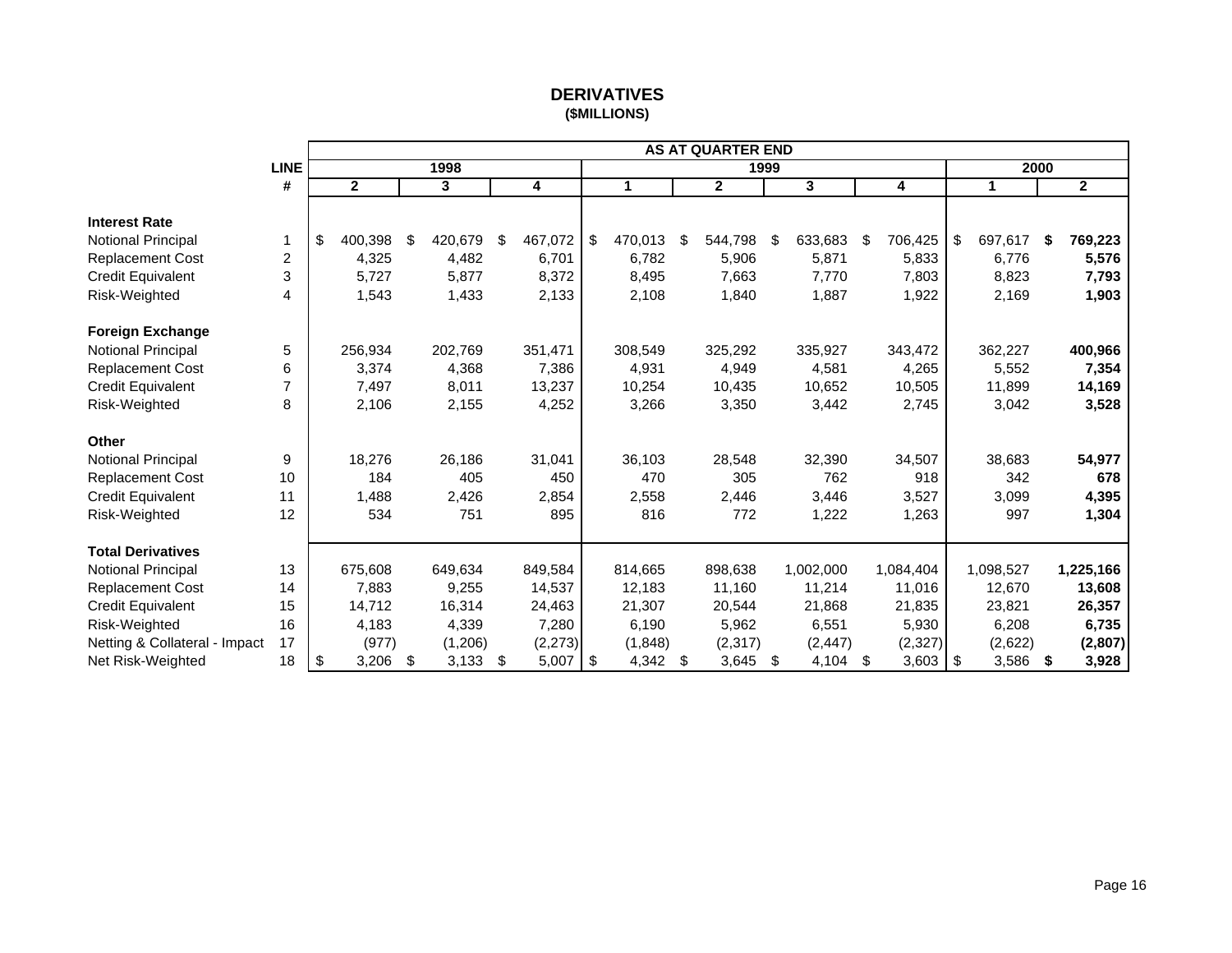# **DERIVATIVES (\$MILLIONS)**

<span id="page-17-0"></span>

|                               |             |               |                         |               |               | <b>AS AT QUARTER END</b> |      |                         |                  |               |      |                |
|-------------------------------|-------------|---------------|-------------------------|---------------|---------------|--------------------------|------|-------------------------|------------------|---------------|------|----------------|
|                               | <b>LINE</b> |               | 1998                    |               |               |                          | 1999 |                         |                  |               | 2000 |                |
|                               | #           | $\mathbf{2}$  | $\overline{\mathbf{3}}$ | 4             | 1             | $\overline{2}$           |      | $\overline{\mathbf{3}}$ | 4                | $\mathbf{1}$  |      | $\overline{2}$ |
| <b>Interest Rate</b>          |             |               |                         |               |               |                          |      |                         |                  |               |      |                |
| Notional Principal            | 1           | \$<br>400,398 | \$<br>420,679           | \$<br>467,072 | \$<br>470,013 | \$<br>544,798            | \$   | 633,683                 | \$<br>706,425    | \$<br>697,617 | \$   | 769,223        |
| Replacement Cost              | 2           | 4,325         | 4,482                   | 6,701         | 6,782         | 5,906                    |      | 5,871                   | 5,833            | 6,776         |      | 5,576          |
| Credit Equivalent             | 3           | 5,727         | 5,877                   | 8,372         | 8,495         | 7,663                    |      | 7,770                   | 7,803            | 8,823         |      | 7,793          |
| Risk-Weighted                 | 4           | 1,543         | 1,433                   | 2,133         | 2,108         | 1,840                    |      | 1,887                   | 1,922            | 2,169         |      | 1,903          |
|                               |             |               |                         |               |               |                          |      |                         |                  |               |      |                |
| <b>Foreign Exchange</b>       |             |               |                         |               |               |                          |      |                         |                  |               |      |                |
| Notional Principal            | 5           | 256,934       | 202,769                 | 351,471       | 308,549       | 325,292                  |      | 335,927                 | 343,472          | 362,227       |      | 400,966        |
| <b>Replacement Cost</b>       | 6           | 3,374         | 4,368                   | 7,386         | 4,931         | 4,949                    |      | 4,581                   | 4,265            | 5,552         |      | 7,354          |
| Credit Equivalent             | 7           | 7,497         | 8,011                   | 13,237        | 10,254        | 10,435                   |      | 10,652                  | 10,505           | 11,899        |      | 14,169         |
| Risk-Weighted                 | 8           | 2,106         | 2,155                   | 4,252         | 3,266         | 3,350                    |      | 3,442                   | 2,745            | 3,042         |      | 3,528          |
|                               |             |               |                         |               |               |                          |      |                         |                  |               |      |                |
| <b>Other</b>                  |             |               |                         |               |               |                          |      |                         |                  |               |      |                |
| Notional Principal            | 9           | 18,276        | 26,186                  | 31,041        | 36,103        | 28,548                   |      | 32,390                  | 34,507           | 38,683        |      | 54,977         |
| <b>Replacement Cost</b>       | 10          | 184           | 405                     | 450           | 470           | 305                      |      | 762                     | 918              | 342           |      | 678            |
| <b>Credit Equivalent</b>      | 11          | 1,488         | 2,426                   | 2,854         | 2,558         | 2,446                    |      | 3,446                   | 3,527            | 3,099         |      | 4,395          |
| Risk-Weighted                 | 12          | 534           | 751                     | 895           | 816           | 772                      |      | 1,222                   | 1,263            | 997           |      | 1,304          |
|                               |             |               |                         |               |               |                          |      |                         |                  |               |      |                |
| <b>Total Derivatives</b>      |             |               |                         |               |               |                          |      |                         |                  |               |      |                |
| Notional Principal            | 13          | 675,608       | 649,634                 | 849,584       | 814,665       | 898,638                  |      | 1,002,000               | 1,084,404        | 1,098,527     |      | 1,225,166      |
| <b>Replacement Cost</b>       | 14          | 7,883         | 9,255                   | 14,537        | 12,183        | 11,160                   |      | 11,214                  | 11,016           | 12,670        |      | 13,608         |
| <b>Credit Equivalent</b>      | 15          | 14,712        | 16,314                  | 24,463        | 21,307        | 20,544                   |      | 21,868                  | 21,835           | 23,821        |      | 26,357         |
| Risk-Weighted                 | 16          | 4,183         | 4,339                   | 7,280         | 6,190         | 5,962                    |      | 6,551                   | 5,930            | 6,208         |      | 6,735          |
| Netting & Collateral - Impact | 17          | (977)         | (1,206)                 | (2, 273)      | (1,848)       | (2, 317)                 |      | (2, 447)                | (2, 327)         | (2,622)       |      | (2, 807)       |
| Net Risk-Weighted             | 18          | \$<br>3,206   | \$<br>3,133             | \$<br>5,007   | \$<br>4,342   | \$<br>3,645              | \$   | 4,104                   | \$<br>$3,603$ \$ | 3,586         | \$   | 3,928          |